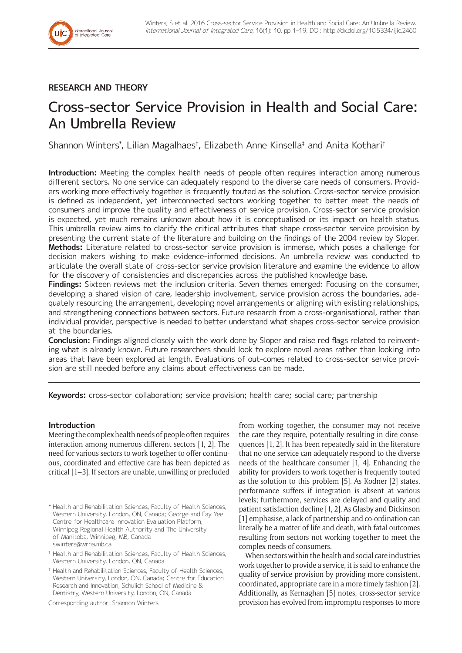

# **RESEARCH AND THEORY**

# Cross-sector Service Provision in Health and Social Care: An Umbrella Review

Shannon Winters\* , Lilian Magalhaes† , Elizabeth Anne Kinsella‡ and Anita Kothari†

**Introduction:** Meeting the complex health needs of people often requires interaction among numerous different sectors. No one service can adequately respond to the diverse care needs of consumers. Providers working more effectively together is frequently touted as the solution. Cross-sector service provision is defined as independent, yet interconnected sectors working together to better meet the needs of consumers and improve the quality and effectiveness of service provision. Cross-sector service provision is expected, yet much remains unknown about how it is conceptualised or its impact on health status. This umbrella review aims to clarify the critical attributes that shape cross-sector service provision by presenting the current state of the literature and building on the findings of the 2004 review by Sloper. **Methods:** Literature related to cross-sector service provision is immense, which poses a challenge for decision makers wishing to make evidence-informed decisions. An umbrella review was conducted to articulate the overall state of cross-sector service provision literature and examine the evidence to allow for the discovery of consistencies and discrepancies across the published knowledge base.

**Findings:** Sixteen reviews met the inclusion criteria. Seven themes emerged: Focusing on the consumer, developing a shared vision of care, leadership involvement, service provision across the boundaries, adequately resourcing the arrangement, developing novel arrangements or aligning with existing relationships, and strengthening connections between sectors. Future research from a cross-organisational, rather than individual provider, perspective is needed to better understand what shapes cross-sector service provision at the boundaries.

**Conclusion:** Findings aligned closely with the work done by Sloper and raise red flags related to reinventing what is already known. Future researchers should look to explore novel areas rather than looking into areas that have been explored at length. Evaluations of out-comes related to cross-sector service provision are still needed before any claims about effectiveness can be made.

**Keywords:** cross-sector collaboration; service provision; health care; social care; partnership

# **Introduction**

Meeting the complex health needs of people often requires interaction among numerous different sectors [1, 2]. The need for various sectors to work together to offer continuous, coordinated and effective care has been depicted as critical [1–3]. If sectors are unable, unwilling or precluded

Corresponding author: Shannon Winters

from working together, the consumer may not receive the care they require, potentially resulting in dire consequences [1, 2]. It has been repeatedly said in the literature that no one service can adequately respond to the diverse needs of the healthcare consumer [1, 4]. Enhancing the ability for providers to work together is frequently touted as the solution to this problem [5]. As Kodner [2] states, performance suffers if integration is absent at various levels; furthermore, services are delayed and quality and patient satisfaction decline [1, 2]. As Glasby and Dickinson [1] emphasise, a lack of partnership and co-ordination can literally be a matter of life and death, with fatal outcomes resulting from sectors not working together to meet the complex needs of consumers.

When sectors within the health and social care industries work together to provide a service, it is said to enhance the quality of service provision by providing more consistent, coordinated, appropriate care in a more timely fashion [2]. Additionally, as Kernaghan [5] notes, cross-sector service provision has evolved from impromptu responses to more

<sup>\*</sup> Health and Rehabilitation Sciences, Faculty of Health Sciences, Western University, London, ON, Canada; George and Fay Yee Centre for Healthcare Innovation Evaluation Platform, Winnipeg Regional Health Authority and The University of Manitoba, Winnipeg, MB, Canada [swinters@wrha.mb.ca](mailto:swinters@wrha.mb.ca)

<sup>†</sup> Health and Rehabilitation Sciences, Faculty of Health Sciences, Western University, London, ON, Canada

<sup>‡</sup> Health and Rehabilitation Sciences, Faculty of Health Sciences, Western University, London, ON, Canada; Centre for Education Research and Innovation, Schulich School of Medicine & Dentistry, Western University, London, ON, Canada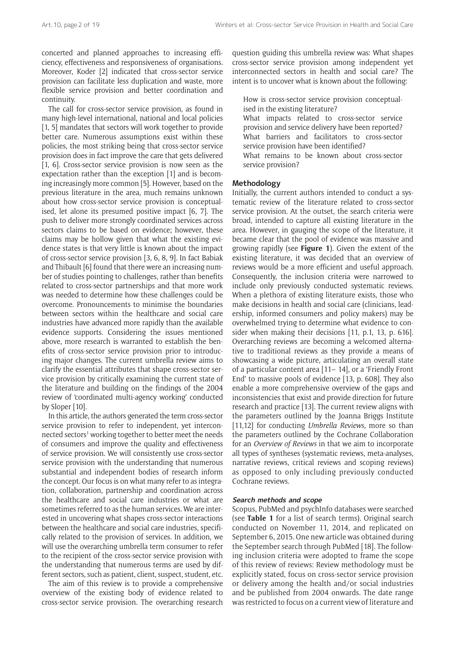concerted and planned approaches to increasing efficiency, effectiveness and responsiveness of organisations. Moreover, Koder [2] indicated that cross-sector service provision can facilitate less duplication and waste, more flexible service provision and better coordination and continuity.

The call for cross-sector service provision, as found in many high-level international, national and local policies [1, 5] mandates that sectors will work together to provide better care. Numerous assumptions exist within these policies, the most striking being that cross-sector service provision does in fact improve the care that gets delivered [1, 6]. Cross-sector service provision is now seen as the expectation rather than the exception [1] and is becoming increasingly more common [5]. However, based on the previous literature in the area, much remains unknown about how cross-sector service provision is conceptualised, let alone its presumed positive impact [6, 7]. The push to deliver more strongly coordinated services across sectors claims to be based on evidence; however, these claims may be hollow given that what the existing evidence states is that very little is known about the impact of cross-sector service provision [3, 6, 8, 9]. In fact Babiak and Thibault [6] found that there were an increasing number of studies pointing to challenges, rather than benefits related to cross-sector partnerships and that more work was needed to determine how these challenges could be overcome. Pronouncements to minimise the boundaries between sectors within the healthcare and social care industries have advanced more rapidly than the available evidence supports. Considering the issues mentioned above, more research is warranted to establish the benefits of cross-sector service provision prior to introducing major changes. The current umbrella review aims to clarify the essential attributes that shape cross-sector service provision by critically examining the current state of the literature and building on the findings of the 2004 review of 'coordinated multi-agency working' conducted by Sloper [10].

In this article, the authors generated the term cross-sector service provision to refer to independent, yet interconnected sectors<sup>1</sup> working together to better meet the needs of consumers and improve the quality and effectiveness of service provision. We will consistently use cross-sector service provision with the understanding that numerous substantial and independent bodies of research inform the concept. Our focus is on what many refer to as integration, collaboration, partnership and coordination across the healthcare and social care industries or what are sometimes referred to as the human services. We are interested in uncovering what shapes cross-sector interactions between the healthcare and social care industries, specifically related to the provision of services. In addition, we will use the overarching umbrella term consumer to refer to the recipient of the cross-sector service provision with the understanding that numerous terms are used by different sectors, such as patient, client, suspect, student, etc.

The aim of this review is to provide a comprehensive overview of the existing body of evidence related to cross-sector service provision. The overarching research question guiding this umbrella review was: What shapes cross-sector service provision among independent yet interconnected sectors in health and social care? The intent is to uncover what is known about the following:

How is cross-sector service provision conceptualised in the existing literature?

What impacts related to cross-sector service provision and service delivery have been reported? What barriers and facilitators to cross-sector service provision have been identified? What remains to be known about cross-sector service provision?

# **Methodology**

Initially, the current authors intended to conduct a systematic review of the literature related to cross-sector service provision. At the outset, the search criteria were broad, intended to capture all existing literature in the area. However, in gauging the scope of the literature, it became clear that the pool of evidence was massive and growing rapidly (see **Figure 1**). Given the extent of the existing literature, it was decided that an overview of reviews would be a more efficient and useful approach. Consequently, the inclusion criteria were narrowed to include only previously conducted systematic reviews. When a plethora of existing literature exists, those who make decisions in health and social care (clinicians, leadership, informed consumers and policy makers) may be overwhelmed trying to determine what evidence to consider when making their decisions [11, p.1, 13, p. 616]. Overarching reviews are becoming a welcomed alternative to traditional reviews as they provide a means of showcasing a wide picture, articulating an overall state of a particular content area [11– 14], or a 'Friendly Front End' to massive pools of evidence [13, p. 608]. They also enable a more comprehensive overview of the gaps and inconsistencies that exist and provide direction for future research and practice [13]. The current review aligns with the parameters outlined by the Joanna Briggs Institute [11,12] for conducting *Umbrella Reviews*, more so than the parameters outlined by the Cochrane Collaboration for an *Overview of Reviews* in that we aim to incorporate all types of syntheses (systematic reviews, meta-analyses, narrative reviews, critical reviews and scoping reviews) as opposed to only including previously conducted Cochrane reviews.

#### **Search methods and scope**

Scopus, PubMed and psychInfo databases were searched (see **Table 1** for a list of search terms). Original search conducted on November 11, 2014, and replicated on September 6, 2015. One new article was obtained during the September search through PubMed [18]. The following inclusion criteria were adopted to frame the scope of this review of reviews: Review methodology must be explicitly stated, focus on cross-sector service provision or delivery among the health and/or social industries and be published from 2004 onwards. The date range was restricted to focus on a current view of literature and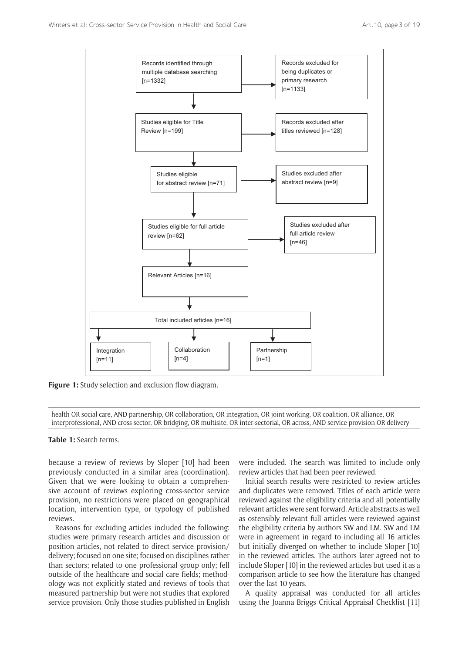

**Figure 1:** Study selection and exclusion flow diagram.

health OR social care, AND partnership, OR collaboration, OR integration, OR joint working, OR coalition, OR alliance, OR interprofessional, AND cross sector, OR bridging, OR multisite, OR inter-sectorial, OR across, AND service provision OR delivery

**Table 1:** Search terms.

because a review of reviews by Sloper [10] had been previously conducted in a similar area (coordination). Given that we were looking to obtain a comprehensive account of reviews exploring cross-sector service provision, no restrictions were placed on geographical location, intervention type, or typology of published reviews.

Reasons for excluding articles included the following: studies were primary research articles and discussion or position articles, not related to direct service provision/ delivery; focused on one site; focused on disciplines rather than sectors; related to one professional group only; fell outside of the healthcare and social care fields; methodology was not explicitly stated and reviews of tools that measured partnership but were not studies that explored service provision. Only those studies published in English were included. The search was limited to include only review articles that had been peer reviewed.

Initial search results were restricted to review articles and duplicates were removed. Titles of each article were reviewed against the eligibility criteria and all potentially relevant articles were sent forward. Article abstracts as well as ostensibly relevant full articles were reviewed against the eligibility criteria by authors SW and LM. SW and LM were in agreement in regard to including all 16 articles but initially diverged on whether to include Sloper [10] in the reviewed articles. The authors later agreed not to include Sloper [10] in the reviewed articles but used it as a comparison article to see how the literature has changed over the last 10 years.

A quality appraisal was conducted for all articles using the Joanna Briggs Critical Appraisal Checklist [11]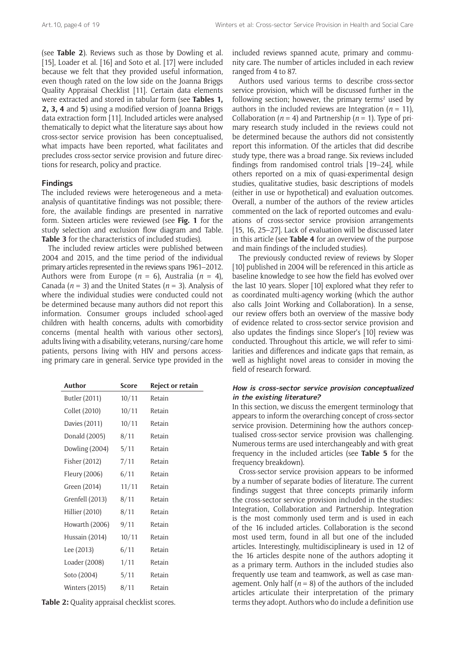(see **Table 2**). Reviews such as those by Dowling et al. [15], Loader et al. [16] and Soto et al. [17] were included because we felt that they provided useful information, even though rated on the low side on the Joanna Briggs Quality Appraisal Checklist [11]. Certain data elements were extracted and stored in tabular form (see **Tables 1, 2, 3, 4** and **5**) using a modified version of Joanna Briggs data extraction form [11]. Included articles were analysed thematically to depict what the literature says about how cross-sector service provision has been conceptualised, what impacts have been reported, what facilitates and precludes cross-sector service provision and future directions for research, policy and practice.

# **Findings**

The included reviews were heterogeneous and a metaanalysis of quantitative findings was not possible; therefore, the available findings are presented in narrative form. Sixteen articles were reviewed (see **Fig. 1** for the study selection and exclusion flow diagram and Table. **Table 3** for the characteristics of included studies).

The included review articles were published between 2004 and 2015, and the time period of the individual primary articles represented in the reviews spans 1961–2012. Authors were from Europe ( $n = 6$ ), Australia ( $n = 4$ ), Canada ( $n = 3$ ) and the United States ( $n = 3$ ). Analysis of where the individual studies were conducted could not be determined because many authors did not report this information. Consumer groups included school-aged children with health concerns, adults with comorbidity concerns (mental health with various other sectors), adults living with a disability, veterans, nursing/care home patients, persons living with HIV and persons accessing primary care in general. Service type provided in the

| Author          | Score | <b>Reject or retain</b> |
|-----------------|-------|-------------------------|
| Butler (2011)   | 10/11 | Retain                  |
| Collet (2010)   | 10/11 | Retain                  |
| Davies (2011)   | 10/11 | Retain                  |
| Donald (2005)   | 8/11  | Retain                  |
| Dowling (2004)  | 5/11  | Retain                  |
| Fisher (2012)   | 7/11  | Retain                  |
| Fleury (2006)   | 6/11  | Retain                  |
| Green (2014)    | 11/11 | Retain                  |
| Grenfell (2013) | 8/11  | Retain                  |
| Hillier (2010)  | 8/11  | Retain                  |
| Howarth (2006)  | 9/11  | Retain                  |
| Hussain (2014)  | 10/11 | Retain                  |
| Lee (2013)      | 6/11  | Retain                  |
| Loader (2008)   | 1/11  | Retain                  |
| Soto (2004)     | 5/11  | Retain                  |
| Winters (2015)  | 8/11  | Retain                  |

**Table 2:** Quality appraisal checklist scores.

included reviews spanned acute, primary and community care. The number of articles included in each review ranged from 4 to 87.

Authors used various terms to describe cross-sector service provision, which will be discussed further in the following section; however, the primary terms<sup>2</sup> used by authors in the included reviews are Integration ( $n = 11$ ), Collaboration ( $n = 4$ ) and Partnership ( $n = 1$ ). Type of primary research study included in the reviews could not be determined because the authors did not consistently report this information. Of the articles that did describe study type, there was a broad range. Six reviews included findings from randomised control trials [19–24], while others reported on a mix of quasi-experimental design studies, qualitative studies, basic descriptions of models (either in use or hypothetical) and evaluation outcomes. Overall, a number of the authors of the review articles commented on the lack of reported outcomes and evaluations of cross-sector service provision arrangements [15, 16, 25–27]. Lack of evaluation will be discussed later in this article (see **Table 4** for an overview of the purpose and main findings of the included studies).

The previously conducted review of reviews by Sloper [10] published in 2004 will be referenced in this article as baseline knowledge to see how the field has evolved over the last 10 years. Sloper [10] explored what they refer to as coordinated multi-agency working (which the author also calls Joint Working and Collaboration). In a sense, our review offers both an overview of the massive body of evidence related to cross-sector service provision and also updates the findings since Sloper's [10] review was conducted. Throughout this article, we will refer to similarities and differences and indicate gaps that remain, as well as highlight novel areas to consider in moving the field of research forward.

# **How is cross-sector service provision conceptualized in the existing literature?**

In this section, we discuss the emergent terminology that appears to inform the overarching concept of cross-sector service provision. Determining how the authors conceptualised cross-sector service provision was challenging. Numerous terms are used interchangeably and with great frequency in the included articles (see **Table 5** for the frequency breakdown).

Cross-sector service provision appears to be informed by a number of separate bodies of literature. The current findings suggest that three concepts primarily inform the cross-sector service provision included in the studies: Integration, Collaboration and Partnership. Integration is the most commonly used term and is used in each of the 16 included articles. Collaboration is the second most used term, found in all but one of the included articles. Interestingly, multidisciplineary is used in 12 of the 16 articles despite none of the authors adopting it as a primary term. Authors in the included studies also frequently use team and teamwork, as well as case management. Only half  $(n = 8)$  of the authors of the included articles articulate their interpretation of the primary terms they adopt. Authors who do include a definition use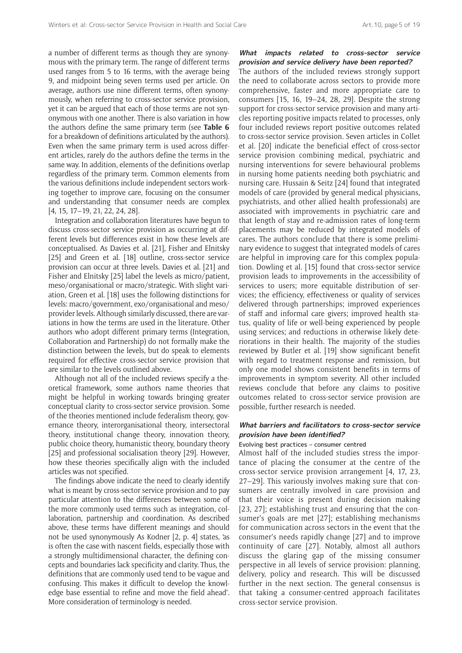a number of different terms as though they are synonymous with the primary term. The range of different terms used ranges from 5 to 16 terms, with the average being 9, and midpoint being seven terms used per article. On average, authors use nine different terms, often synonymously, when referring to cross-sector service provision, yet it can be argued that each of those terms are not synonymous with one another. There is also variation in how the authors define the same primary term (see **Table 6** for a breakdown of definitions articulated by the authors). Even when the same primary term is used across different articles, rarely do the authors define the terms in the same way. In addition, elements of the definitions overlap regardless of the primary term. Common elements from the various definitions include independent sectors working together to improve care, focusing on the consumer and understanding that consumer needs are complex [4, 15, 17–19, 21, 22, 24, 28].

Integration and collaboration literatures have begun to discuss cross-sector service provision as occurring at different levels but differences exist in how these levels are conceptualised. As Davies et al. [21], Fisher and Elnitsky [25] and Green et al. [18] outline, cross-sector service provision can occur at three levels. Davies et al. [21] and Fisher and Elnitsky [25] label the levels as micro/patient, meso/organisational or macro/strategic. With slight variation, Green et al. [18] uses the following distinctions for levels: macro/government, exo/organisational and meso/ provider levels. Although similarly discussed, there are variations in how the terms are used in the literature. Other authors who adopt different primary terms (Integration, Collaboration and Partnership) do not formally make the distinction between the levels, but do speak to elements required for effective cross-sector service provision that are similar to the levels outlined above.

Although not all of the included reviews specify a theoretical framework, some authors name theories that might be helpful in working towards bringing greater conceptual clarity to cross-sector service provision. Some of the theories mentioned include federalism theory, governance theory, interorganisational theory, intersectoral theory, institutional change theory, innovation theory, public choice theory, humanistic theory, boundary theory [25] and professional socialisation theory [29]. However, how these theories specifically align with the included articles was not specified.

The findings above indicate the need to clearly identify what is meant by cross-sector service provision and to pay particular attention to the differences between some of the more commonly used terms such as integration, collaboration, partnership and coordination. As described above, these terms have different meanings and should not be used synonymously As Kodner [2, p. 4] states, 'as is often the case with nascent fields, especially those with a strongly multidimensional character, the defining concepts and boundaries lack specificity and clarity. Thus, the definitions that are commonly used tend to be vague and confusing. This makes it difficult to develop the knowledge base essential to refine and move the field ahead'. More consideration of terminology is needed.

**provision and service delivery have been reported?** The authors of the included reviews strongly support the need to collaborate across sectors to provide more comprehensive, faster and more appropriate care to consumers [15, 16, 19–24, 28, 29]. Despite the strong support for cross-sector service provision and many articles reporting positive impacts related to processes, only four included reviews report positive outcomes related to cross-sector service provision. Seven articles in Collet et al. [20] indicate the beneficial effect of cross-sector service provision combining medical, psychiatric and nursing interventions for severe behavioural problems in nursing home patients needing both psychiatric and nursing care. Hussain & Seitz [24] found that integrated models of care (provided by general medical physicians, psychiatrists, and other allied health professionals) are associated with improvements in psychiatric care and that length of stay and re-admission rates of long-term placements may be reduced by integrated models of cares. The authors conclude that there is some preliminary evidence to suggest that integrated models of cares are helpful in improving care for this complex population. Dowling et al. [15] found that cross-sector service provision leads to improvements in the accessibility of services to users; more equitable distribution of services; the efficiency, effectiveness or quality of services delivered through partnerships; improved experiences of staff and informal care givers; improved health status, quality of life or well-being experienced by people using services; and reductions in otherwise likely deteriorations in their health. The majority of the studies reviewed by Butler et al. [19] show significant benefit with regard to treatment response and remission, but only one model shows consistent benefits in terms of improvements in symptom severity. All other included reviews conclude that before any claims to positive outcomes related to cross-sector service provision are possible, further research is needed.

**What impacts related to cross-sector service** 

#### **What barriers and facilitators to cross-sector service provision have been identified?**

#### Evolving best practices – consumer centred

Almost half of the included studies stress the importance of placing the consumer at the centre of the cross-sector service provision arrangement [4, 17, 23, 27–29]. This variously involves making sure that consumers are centrally involved in care provision and that their voice is present during decision making [23, 27]; establishing trust and ensuring that the consumer's goals are met [27]; establishing mechanisms for communication across sectors in the event that the consumer's needs rapidly change [27] and to improve continuity of care [27]. Notably, almost all authors discuss the glaring gap of the missing consumer perspective in all levels of service provision: planning, delivery, policy and research. This will be discussed further in the next section. The general consensus is that taking a consumer-centred approach facilitates cross-sector service provision.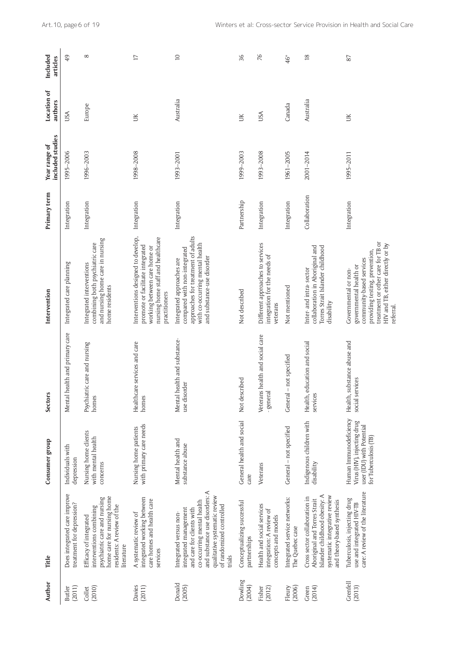| Author                  | Title                                                                                                                                                                                                               | Consumer group                                                                                              | Sector:                                           | Intervention                                                                                                                                                                                       | Primary term  | included studies<br>Year range of | Location of<br>authors | Included<br>articles |
|-------------------------|---------------------------------------------------------------------------------------------------------------------------------------------------------------------------------------------------------------------|-------------------------------------------------------------------------------------------------------------|---------------------------------------------------|----------------------------------------------------------------------------------------------------------------------------------------------------------------------------------------------------|---------------|-----------------------------------|------------------------|----------------------|
| <b>Butler</b><br>(2011) | Does integrated care improve<br>treatment for depression?                                                                                                                                                           | Individuals with<br>depression                                                                              | health and primary care<br>Mental                 | Integrated care planning                                                                                                                                                                           | Integration   | 1995-2006                         | USA                    | 49                   |
| (2010)<br>Collet        | home care for nursing home<br>psychiatric care and nursing<br>residents: A review of the<br>interventions combining<br>Efficacy of integrated<br>literature                                                         | Nursing home clients<br>with mental health<br>concerns                                                      | Psychiatric care and nursing<br>homes             | and nursing home care in nursing<br>combining both psychiatric care<br>Integrated interventions<br>home residents                                                                                  | Integration   | 1996-2003                         | Europe                 | $\infty$             |
| Davies<br>(2011)        | integrated working between<br>care homes and health care<br>A systematic review of<br>services                                                                                                                      | with primary care needs<br>Nursing home patients                                                            | Healthcare services and care<br>homes             | Interventions designed to develop,<br>nursing home staff and healthcare<br>promote or facilitate integrated<br>working between care home or<br>practitioners                                       | Integration   | 1998-2008                         | ŬК                     | $\overline{17}$      |
| Donald<br>(2005)        | and substance use disorders: A<br>qualitative systematic review<br>co-occurring mental health<br>of randomized controlled<br>integrated management<br>and care for clients with<br>Integrated versus non-<br>trials | Mental health and<br>substance abuse                                                                        | Mental health and substance-<br>use disorder      | approaches for treatment of adults<br>with co-occurring mental health<br>compared with non-integrated<br>and substance-use disorder<br>Integrated approaches are                                   | Integration   | 1993-2001                         | Australia              | $\supseteq$          |
| Dowling<br>(2004)       | Conceptualizing successful<br>partnerships                                                                                                                                                                          | General health and social<br>care                                                                           | Not described                                     | Not described                                                                                                                                                                                      | Partnership   | 1999-2003                         | ŬК                     | 36                   |
| Fisher<br>(2012)        | Health and social services<br>integration: A review of<br>concepts and models                                                                                                                                       | Veterans                                                                                                    | Veterans health and social care<br>- general      | Different approaches to services<br>integration for the needs of<br>veterans                                                                                                                       | Integration   | 1993-2008                         | USA                    | 76                   |
| (2006)<br>Fleury        | Integrated service networks:<br>The Quebec case                                                                                                                                                                     | General - not specified                                                                                     | - not specified<br>General                        | Not mentioned                                                                                                                                                                                      | Integration   | 1961-2005                         | Canada                 | 46*                  |
| (2014)<br>Green         | Islander childhood obesity: A<br>systematic integrative review<br>Cross sector collaboration in<br>Aboriginal and Torres Strait<br>and theory-based synthesis                                                       | Indigenous children with<br>disability                                                                      | education and social<br>Health,<br>services       | collaboration in Aboriginal and<br>Torres Strait Islander childhood<br>Inter-and intra-sector<br>disability                                                                                        | Collaboration | 2001-2014                         | Australia              | $\frac{8}{2}$        |
| Grenfell<br>(2013)      | care: A review of the literature<br>Tuberculosis, injecting drug<br>use and integrated HIV-TB                                                                                                                       | Human Immunodeficiency<br>Virus (HIV), injecting drug<br>user (IDU) with Potential<br>for Tuberculosis (TB) | substance abuse and<br>social services<br>Health, | treatment or other care for TB or<br>HIV and TB, either directly or by<br>providing testing, prevention,<br>community-based services<br>governmental health or<br>Governmental or non-<br>referral | Integration   | 1995-2011                         | ŬК                     | 87                   |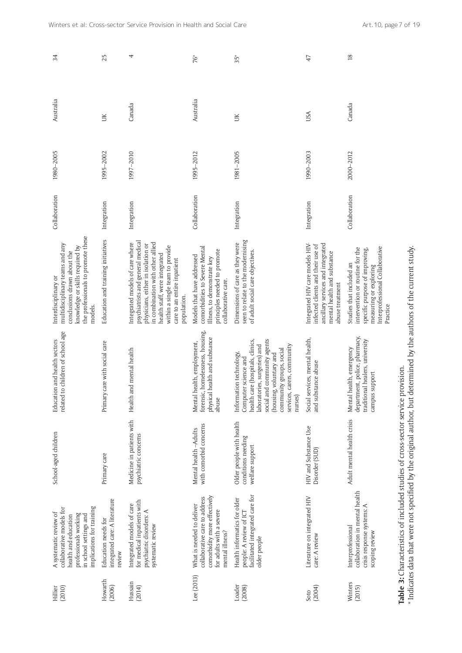| 25<br>4<br>$\frac{8}{2}$<br>76*<br>$35*$<br>47<br>Australia<br>Canada<br>Canada<br>USA<br>ŬК<br>ŬК<br>1995-2002<br>1981-2005<br>1990-2003<br>1997-2010<br>2000-2012<br>1995-2012<br>Collaboration<br>Collaboration<br>Integration<br>Integration<br>Integration<br>Integration<br>the professionals to promote these<br>Education and training initiatives<br>seen to relate to the modernising<br>psychiatrists and general medical<br>in combination with other allied<br>Integrated models of care where<br>Dimensions of care as they were<br>Integrated HIV care models HIV-<br>ancillary services and integrated<br>multidisciplinary teams and any<br>physicians, either in isolation or<br>infected clients and their use of<br>within a single team to provide<br>knowledge or skills required by<br>comorbidities to Severe Mental<br>Interprofessional Collaborative<br>intervention or routine for the<br>specific purpose of improving,<br>principles needed to promote<br>of adult social care objectives.<br>conclusions drawn about the<br>mental health and substance<br>health staff, were integrated<br>Models that have addressed<br>Illness, to demonstrate key<br>care to an entire inpatient<br>Studies that included an<br>measuring or exploring<br>collaborative care.<br>abuse treatment<br>population.<br>Practice<br>models.<br>related to children of school age<br>forensic, homelessness, housing,<br>department, police, pharmacy,<br>health and substance<br>Social services, mental health,<br>social and community agents<br>traditional healers, university<br>health care (hospitals, clinics,<br>care with social care<br>Mental health, employment,<br>laboratories, surgeries) and<br>services, carers, community<br>Mental health, emergency<br>Health and mental health<br>community groups, social<br>Information technology,<br>(housing, voluntary and<br>Computer science and<br>and substance abuse<br>support<br>physical<br>Primary<br>campus<br>nurses)<br>abuse<br>Medicine in patients with<br>Adult mental health crisis<br>Older people with health<br>with comorbid concerns<br>HIV and Substance Use<br>Mental health -- Adults<br>psychiatric concerns<br>conditions needing<br>welfare support<br>Disorder (SUD)<br>Primary care<br>integrated care: A literature<br>for medical inpatients with<br>Integrated models of care<br>implications for training<br>collaborative models for<br>psychiatric disorders: A<br>professionals working<br>in school settings and<br>health and education<br>Education needs for<br>systematic review | A systematic review of                                                                                                 | School-aged children | Education and health sectors | Interdisciplinary or | Collaboration | 1980-2005 | Australia | 34 |
|------------------------------------------------------------------------------------------------------------------------------------------------------------------------------------------------------------------------------------------------------------------------------------------------------------------------------------------------------------------------------------------------------------------------------------------------------------------------------------------------------------------------------------------------------------------------------------------------------------------------------------------------------------------------------------------------------------------------------------------------------------------------------------------------------------------------------------------------------------------------------------------------------------------------------------------------------------------------------------------------------------------------------------------------------------------------------------------------------------------------------------------------------------------------------------------------------------------------------------------------------------------------------------------------------------------------------------------------------------------------------------------------------------------------------------------------------------------------------------------------------------------------------------------------------------------------------------------------------------------------------------------------------------------------------------------------------------------------------------------------------------------------------------------------------------------------------------------------------------------------------------------------------------------------------------------------------------------------------------------------------------------------------------------------------------------------------------------------------------------------------------------------------------------------------------------------------------------------------------------------------------------------------------------------------------------------------------------------------------------------------------------------------------------------------------------------------------------------------------------------------------------------------------------------------------------------------------------------------|------------------------------------------------------------------------------------------------------------------------|----------------------|------------------------------|----------------------|---------------|-----------|-----------|----|
|                                                                                                                                                                                                                                                                                                                                                                                                                                                                                                                                                                                                                                                                                                                                                                                                                                                                                                                                                                                                                                                                                                                                                                                                                                                                                                                                                                                                                                                                                                                                                                                                                                                                                                                                                                                                                                                                                                                                                                                                                                                                                                                                                                                                                                                                                                                                                                                                                                                                                                                                                                                                      |                                                                                                                        |                      |                              |                      |               |           |           |    |
|                                                                                                                                                                                                                                                                                                                                                                                                                                                                                                                                                                                                                                                                                                                                                                                                                                                                                                                                                                                                                                                                                                                                                                                                                                                                                                                                                                                                                                                                                                                                                                                                                                                                                                                                                                                                                                                                                                                                                                                                                                                                                                                                                                                                                                                                                                                                                                                                                                                                                                                                                                                                      |                                                                                                                        |                      |                              |                      |               |           |           |    |
|                                                                                                                                                                                                                                                                                                                                                                                                                                                                                                                                                                                                                                                                                                                                                                                                                                                                                                                                                                                                                                                                                                                                                                                                                                                                                                                                                                                                                                                                                                                                                                                                                                                                                                                                                                                                                                                                                                                                                                                                                                                                                                                                                                                                                                                                                                                                                                                                                                                                                                                                                                                                      |                                                                                                                        |                      |                              |                      |               |           |           |    |
|                                                                                                                                                                                                                                                                                                                                                                                                                                                                                                                                                                                                                                                                                                                                                                                                                                                                                                                                                                                                                                                                                                                                                                                                                                                                                                                                                                                                                                                                                                                                                                                                                                                                                                                                                                                                                                                                                                                                                                                                                                                                                                                                                                                                                                                                                                                                                                                                                                                                                                                                                                                                      | comorbidity more effectively<br>collaborative care to address<br>What is needed to deliver<br>for adults with a severe |                      |                              |                      |               |           |           |    |
|                                                                                                                                                                                                                                                                                                                                                                                                                                                                                                                                                                                                                                                                                                                                                                                                                                                                                                                                                                                                                                                                                                                                                                                                                                                                                                                                                                                                                                                                                                                                                                                                                                                                                                                                                                                                                                                                                                                                                                                                                                                                                                                                                                                                                                                                                                                                                                                                                                                                                                                                                                                                      | facilitated integrated care for<br>Health informatics for older<br>people: A review of ICT                             |                      |                              |                      |               |           |           |    |
|                                                                                                                                                                                                                                                                                                                                                                                                                                                                                                                                                                                                                                                                                                                                                                                                                                                                                                                                                                                                                                                                                                                                                                                                                                                                                                                                                                                                                                                                                                                                                                                                                                                                                                                                                                                                                                                                                                                                                                                                                                                                                                                                                                                                                                                                                                                                                                                                                                                                                                                                                                                                      | Literature on integrated HIV                                                                                           |                      |                              |                      |               |           |           |    |
|                                                                                                                                                                                                                                                                                                                                                                                                                                                                                                                                                                                                                                                                                                                                                                                                                                                                                                                                                                                                                                                                                                                                                                                                                                                                                                                                                                                                                                                                                                                                                                                                                                                                                                                                                                                                                                                                                                                                                                                                                                                                                                                                                                                                                                                                                                                                                                                                                                                                                                                                                                                                      | collaboration in mental health<br>crisis response systems: A<br>Interprofessional                                      |                      |                              |                      |               |           |           |    |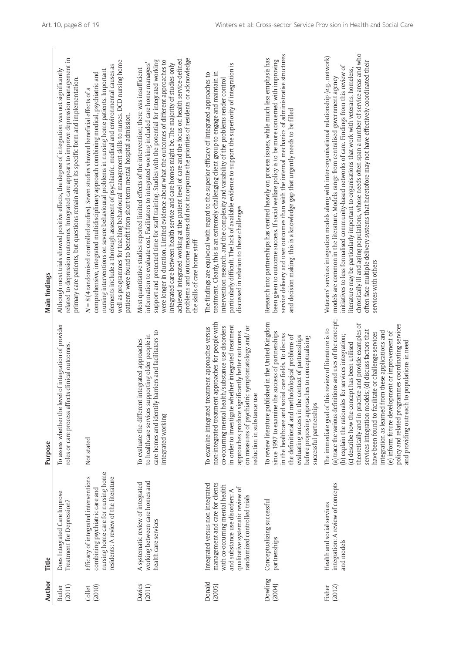| Author            | Title                                                                                                                                                                                                        | Purpose                                                                                                                                                                                                                                                                                                                                                                                                                                                                                                                                                                                                                 | Main findings                                                                                                                                                                                                                                                                                                                                                                                                                                                                                                                                                                                                                                                                                                                            |
|-------------------|--------------------------------------------------------------------------------------------------------------------------------------------------------------------------------------------------------------|-------------------------------------------------------------------------------------------------------------------------------------------------------------------------------------------------------------------------------------------------------------------------------------------------------------------------------------------------------------------------------------------------------------------------------------------------------------------------------------------------------------------------------------------------------------------------------------------------------------------------|------------------------------------------------------------------------------------------------------------------------------------------------------------------------------------------------------------------------------------------------------------------------------------------------------------------------------------------------------------------------------------------------------------------------------------------------------------------------------------------------------------------------------------------------------------------------------------------------------------------------------------------------------------------------------------------------------------------------------------------|
| (2011)<br>Butler  | Does Integrated Care Improve<br>Treatment for Depression?                                                                                                                                                    | To assess whether the level of integration of provider<br>roles or care process affects clinical outcomes.                                                                                                                                                                                                                                                                                                                                                                                                                                                                                                              | related to depression outcomes. Integrated care appears to improve depression management in<br>Although most trials showed positive effects, the degree of integration was not significantly<br>primary care patients, but questions remain about its specific form and implementation.                                                                                                                                                                                                                                                                                                                                                                                                                                                  |
| (2010)<br>Collet  | nursing home care for nursing home<br>Efficacy of integrated interventions<br>residents: A review of the literature<br>combining psychiatric care and                                                        | Not stated                                                                                                                                                                                                                                                                                                                                                                                                                                                                                                                                                                                                              | well as programmes for teaching behavioural management skills to nurses. DCD nursing home<br>elements include a thorough assessment of psychiatric, medical and environmental causes as<br>nursing interventions on severe behavioural problems in nursing home patients. Important<br>comprehensive, integrated multidisciplinary approach combining medical, psychiatric and<br>$N = 8$ (4 randomised controlled studies). Seven studies showed beneficial effects of a<br>patients were found to benefit from short-term mental hospital admission.                                                                                                                                                                                   |
| Davies<br>(2011)  | working between care homes and<br>A systematic review of integrated<br>health care services                                                                                                                  | care homes and identify barriers and facilitators to<br>to healthcare services supporting older people in<br>To evaluate the different integrated approaches<br>integrated working                                                                                                                                                                                                                                                                                                                                                                                                                                      | problems and outcome measures did not incorporate the priorities of residents or acknowledge<br>achieved integrated working at the patient level of care and the focus on health service-defined<br>support and protected time for staff training. Studies with the potential for integrated working<br>were longer in duration. Limited evidence about what the outcomes of different approaches to<br>information to evaluate cost. Facilitators to integrated working included care home managers'<br>integrated care between health service and care homes might be. The majority of studies only<br>Most quantitative studies reported limited effects of the intervention; there was insufficient<br>the skills of care home staff |
| Donald<br>(2005)  | management and care for clients<br>Integrated versus non-integrated<br>with co-occurring mental health<br>qualitative systematic review of<br>and substance use disorders: A<br>randomized controlled trials | non-integrated treatment approaches for people with<br>in order to investigate whether integrated treatment<br>co-occurring mental health/substance use disorders<br>on measures of psychiatric symptomatology and/ or<br>To examine integrated treatment approaches versus<br>approaches produce significantly better outcomes<br>reduction in substance use                                                                                                                                                                                                                                                           | particularly difficult. The lack of available evidence to support the superiority of integration is<br>treatment. Clearly, this is an extremely challenging client group to engage and maintain in<br>The findings are equivocal with regard to the superior efficacy of integrated approaches to<br>intervention research, and the complexity and variability of the problems render control<br>discussed in relation to these challenges                                                                                                                                                                                                                                                                                               |
| Dowling<br>(2004) | Conceptualizing successful<br>partnerships                                                                                                                                                                   | To review literature published in the United Kingdom<br>since 1997 to examine the success of partnerships<br>in the healthcare and social care fields. To discuss<br>the definitional and methodological problems of<br>evaluating success in the context of partnerships<br>before proposing approaches to conceptualising<br>successful partnerships                                                                                                                                                                                                                                                                  | service delivery and user outcomes than with the internal mechanics of administrative structures<br>Research into partnerships has centred heavily on process issues, while much less emphasis has<br>been given to outcome success. If social welfare policy is to be more concerned with improving<br>and decision making, this is a knowledge gap that urgently needs to be filled                                                                                                                                                                                                                                                                                                                                                    |
| Fisher<br>(2012)  | integration: A review of concepts<br>Health and social services<br>and models                                                                                                                                | (a) trace the various definitions and uses of the concept;<br>theoretically and in practice and provide examples of<br>policy and related programmes coordinating services<br>The immediate goal of this review of literature is to<br>services integration models; (d) discuss factors that<br>integration as learned from these applications and<br>(e) inform future development or improvement of<br>have been found to facilitate or challenge services<br>(b) explain the rationales for services integration;<br>and providing outreach to populations in need<br>(c) describe how the concept has been utilised | chronically ill and aging populations, whose needs often span a number of service areas and who<br>Veterans' services integration models along with inter-organisational relationship (e.g., network)<br>often face multiple delivery systems that heretofore may not have effectively coordinated their<br>initiatives to less formalised community-based networks of care. Findings from this review of<br>literature may be particularly important to organisations that work with veterans, homeless,<br>models are common in the literature. Models range from centralised government agency<br>services with others                                                                                                                |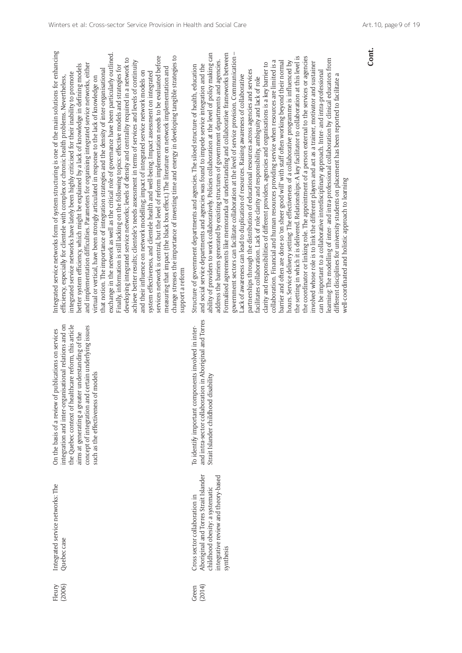integration and inter-organisational relations and on the Quebec context of healthcare reform, this article the Quebec context of healthcare reform, this article concept of integration and certain underlying issues integration and inter-organisational relations and on concept of integration and certain underlying issues On the basis of a review of publications on services On the basis of a review of publications on services aims at generating a greater understanding of the aims at generating a greater understanding of the such as the effectiveness of models such as the effectiveness of models

> Aboriginal and Torres Strait Islander Aboriginal and Torres Strait Islander childhood obesity: a systematic childhood obesity: a systematic Cross sector collaboration in Cross sector collaboration in (2014) Green

integrative review and theory-based

integrative review and theory-based

synthesis

and intra-sector collaboration in Aboriginal and Torres and intra-sector collaboration in Aboriginal and Torres To identify important components involved in inter-To identify important components involved in inter-Strait Islander childhood disability Strait Islander childhood disability

Integrated service networks form of system structuring is one of the main solutions for enhancing integrated service networks form of system structuring is one of the main solutions for enhancing exchange in the network as well as the critical role of governance have been particularly outlined. exchange in the network as well as the critical role of governance have been particularly outlined. services network is central, but the level of reform implementation needs to be evaluated before services network is central, but the level of reform implementation needs to be evaluated before change stresses the importance of investing time and energy in developing tangible strategies to change stresses the importance of investing time and energy in developing tangible strategies to developing integrated service networks; levels of density and centrality required in a network to developing integrated service networks; levels of density and centrality required in a network to achieve better results; clientele's needs assessment in terms of services and levels of continuity achieve better results; clientele's needs assessment in terms of services and levels of continuity and implementation difficulties. Parameters for organising integrated service networks, either better system efficiency, which might be explained by a lack of knowledge in defining models and implementation difficulties. Parameters for organising integrated service networks, either better system efficiency, which might be explained by a lack of knowledge in defining models Finally, information is still lacking on the following topics: effective models and strategies for Finally, information is still lacking on the following topics: effective models and strategies for measuring that impact (the black box effect.) The literature on network implementation and that notion. The importance of integration strategies and the density of inter-organisational measuring that impact (the black box effect.) The literature on network implementation and hat notion. The importance of integration strategies and the density of inter-organisational and their influence on network modelling; impact of integrated service network models on and their influence on network modelling; impact of integrated service network models on system effectiveness, and clientele health and well-being. Impact assessment on integrated system effectiveness, and clientele health and well-being. Impact assessment on integrated integrated service networks have lately been highly criticised for their inability to promote integrated service networks have lately been highly criticised for their inability to promote efficiency, especially for clientele with complex or chronic health problems. Nevertheless, virtual or vertical, have been strongly articulated in response to the lack of knowledge on virtual or vertical, have been strongly articulated in response to the lack of knowledge on efficiency, especially for clientele with complex or chronic health problems. Nevertheless, support a reform support a reform

government sectors can facilitate collaboration at the level of service provision. Communication – ability of providers to work collaboratively. Policies collaboration at the level of policy making can ability of providers to work collaboratively. Policies collaboration at the level of policy making can Formalised agreements like memoranda of understanding and collaborative frameworks between Formalised agreements like memoranda of understanding and collaborative frameworks between government sectors can facilitate collaboration at the level of service provision. Communication the setting in which it is delivered. Relationships: A key facilitator to collaboration at this level is the coordinator or linking role. The appointment of a person external to the services or agencies the setting in which it is delivered. Relationships: A key facilitator to collaboration at this level is the coordinator or linking role. The appointment of a person external to the services or agencies learning: The modelling of inter- and intra-professional collaboration by clinical educators from learning: The modelling of inter- and intra-professional collaboration by clinical educators from address the barriers generated by existing structures of government departments and agencies. collaboration. Financial and human resources providing service when resources are limited is a barrier and often are done so 'on sheer good will' with staff often working beyond their normal address the barriers generated by existing structures of government departments and agencies. collaboration. Financial and human resources providing service when resources are limited is a barrier and often are done so 'on sheer good will' with staff often working beyond their normal hours. Service delivery setting: The effectiveness of a collaborative programme is influenced by hours. Service delivery setting: The effectiveness of a collaborative programme is influenced by involved whose role is to link the different players and act as a trainer, motivator and sustainer clarity and responsibilities of different providers, agencies and organisations is a key barrier to involved whose role is to link the different players and act as a trainer, motivator and sustainer clarity and responsibilities of different providers, agencies and organisations is a key barrier to Structure of government departments and agencies. The siloed structure of health, education and social service departments and agencies was found to impede service integration and the Structure of government departments and agencies. The siloed structure of health, education and social service departments and agencies was found to impede service integration and the partnerships through the distribution of educational resources across agencies and services partnerships through the distribution of educational resources across agencies and services can be important to a collaborative interdisciplinary approach. Inter- and intra-professional can be important to a collaborative interdisciplinary approach. Inter- and intra-professional different disciplines for university students on placement has been reported to facilitate a Lack of awareness can lead to duplication of resources. Raising awareness of collaborative different disciplines for university students on placement has been reported to facilitate a Lack of awareness can lead to duplication of resources. Raising awareness of collaborative facilitates collaboration. Lack of role clarity and responsibility, ambiguity and lack of role facilitates collaboration. Lack of role clarity and responsibility, ambiguity and lack of role well-coordinated and holistic approach to learning well-coordinated and holistic approach to learning **Cont.**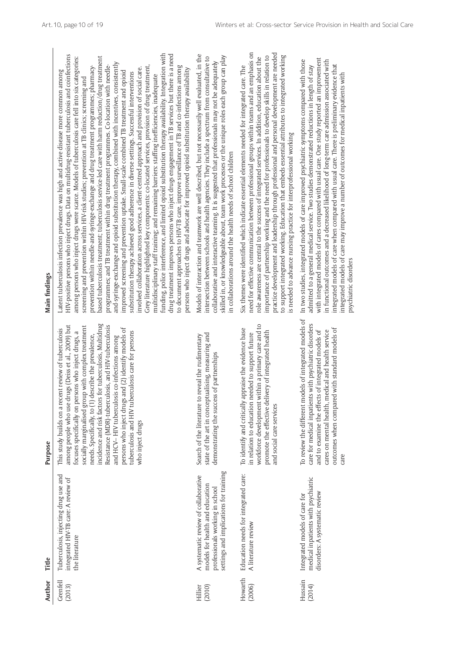| Author             | Title                                                                                                                                                | Purpose                                                                                                                                                                                                                                                                                                                                                                                                                                                                                                                                                                            | Main findings                                                                                                                                                                                                                                                                                                                                                                                                                                                                                                                                                                                                                                                                                                                                                                                                                                                                                                                                                                                                                                                                                                                                                                                                                                                                                                                                                                                                                                                                                                                                                                                                                                                                          |
|--------------------|------------------------------------------------------------------------------------------------------------------------------------------------------|------------------------------------------------------------------------------------------------------------------------------------------------------------------------------------------------------------------------------------------------------------------------------------------------------------------------------------------------------------------------------------------------------------------------------------------------------------------------------------------------------------------------------------------------------------------------------------|----------------------------------------------------------------------------------------------------------------------------------------------------------------------------------------------------------------------------------------------------------------------------------------------------------------------------------------------------------------------------------------------------------------------------------------------------------------------------------------------------------------------------------------------------------------------------------------------------------------------------------------------------------------------------------------------------------------------------------------------------------------------------------------------------------------------------------------------------------------------------------------------------------------------------------------------------------------------------------------------------------------------------------------------------------------------------------------------------------------------------------------------------------------------------------------------------------------------------------------------------------------------------------------------------------------------------------------------------------------------------------------------------------------------------------------------------------------------------------------------------------------------------------------------------------------------------------------------------------------------------------------------------------------------------------------|
| Grenfell<br>(2013) | Tuberculosis, injecting drug use and<br>integrated HIV-TB care: A review of<br>the literature                                                        | incidence and risk factors for tuberculosis, Multidrug<br>among people who use drugs (Deiss et al., 2009) but<br>Resistance (MDR)-tuberculosis, and HIV-tuberculosis<br>socially marginalised group with complex treatment<br>persons who inject drugs and (2) identify models of<br>This study builds on a recent review of tuberculosis<br>tuberculosis and HIV tuberculosis care for persons<br>focuses specifically on persons who inject drugs, a<br>needs. Specifically, to (1) describe the prevalence,<br>and HCV-HIV tuberculosis co-infections among<br>who inject drugs | funding, police interference, and limited opioid substitution therapy availability. Integration with<br>drug treatment improves persons who inject drugs engagement in TB services but there is a need<br>HIV-positive persons who inject drugs. Data on multidrug-resistant tuberculosis and coinfections<br>based tuberculosis treatment; tuberculosis service-led care with harm reduction/drug treatment<br>among persons who inject drugs were scarce. Models of tuberculosis care fell into six categories:<br>and-syringe-exchange and opioid substitution therapy, combined with incentives, consistently<br>programmes; and TB treatment within drug treatment programmes. Co-location with needle-<br>Grey literature highlighted key components: co-located services, provision of drug treatment,<br>prevention within needle-and-syringe-exchange and drug treatment programmes; pharmacy-<br>to document approaches to HIV-TB care, improve surveillance of TB and co-infections among<br>involved collaboration across services, a client-centred approach and provision of social care.<br>persons who inject drugs and advocate for improved opioid substitution therapy availability<br>Latent tuberculosis infection prevalence was high and active disease more common among<br>improved screening and prevention uptake. Small-scale combined TB treatment and opioid<br>substitution therapy achieved good adherence in diverse settings. Successful interventions<br>multidisciplinary staff training; and remaining barriers: staffing inefficiencies, inadequate<br>screening and prevention within HIV-risk studies; prevention at TB clinics; screening and |
| Hillier<br>(2010)  | settings and implications for training<br>A systematic review of collaborative<br>models for health and education<br>professionals working in school | state of the art in conceptualising, measuring and<br>Search of the literature to reveal the rudimentary<br>demonstrating the success of partnerships                                                                                                                                                                                                                                                                                                                                                                                                                              | Models of interaction and teamwork are well described, but not necessarily well evaluated, in the<br>skilled in, or knowledgeable about, team work processes or the unique roles each group can play<br>intersection between schools and health agencies. They include a spectrum from consultative to<br>collaborative and interactive teaming. It is suggested that professionals may not be adequately<br>in collaborations around the health needs of school children                                                                                                                                                                                                                                                                                                                                                                                                                                                                                                                                                                                                                                                                                                                                                                                                                                                                                                                                                                                                                                                                                                                                                                                                              |
| Howarth<br>(2006)  | Education needs for integrated care:<br>A literature review                                                                                          | workforce development within a primary care and to<br>appraise the evidence base<br>promote the effective delivery of integrated health<br>in relation to education needed to support future<br>To identify and critically<br>and social care services                                                                                                                                                                                                                                                                                                                             | need for effective communication between professional groups within teams and an emphasis on<br>practice development and leadership through professional and personal development are needed<br>to support integrated working. Education that embeds essential attributes to integrated working<br>importance of partnership working and the need for professionals to develop skills in relation to<br>role awareness are central to the success of integrated services. In addition, education about the<br>Six themes were identified which indicate essential elements needed for integrated care. The<br>is needed to advance nursing practice for interprofessional working                                                                                                                                                                                                                                                                                                                                                                                                                                                                                                                                                                                                                                                                                                                                                                                                                                                                                                                                                                                                      |
| Hussain<br>(2014)  | medical inpatients with psychiatric<br>disorders: A systematic review<br>Integrated models of care for                                               | To review the different models of integrated models of<br>care for medical inpatients with psychiatric disorders<br>outcomes when compared with standard models of<br>cares on mental health, medical and health service<br>and to examine the effects of integrated models of<br>care                                                                                                                                                                                                                                                                                             | with integrated models of cares compared with usual care. One study reported an improvement<br>In two studies, integrated models of care improved psychiatric symptoms compared with those<br>in functional outcomes and a decreased likelihood of long-term care admission associated with<br>integrated models of care when compared with usual care. There is preliminary evidence that<br>admitted to a general medical service. Two studies demonstrated reductions in length of stay<br>integrated models of care may improve a number of outcomes for medical inpatients with<br>psychiatric disorders                                                                                                                                                                                                                                                                                                                                                                                                                                                                                                                                                                                                                                                                                                                                                                                                                                                                                                                                                                                                                                                                          |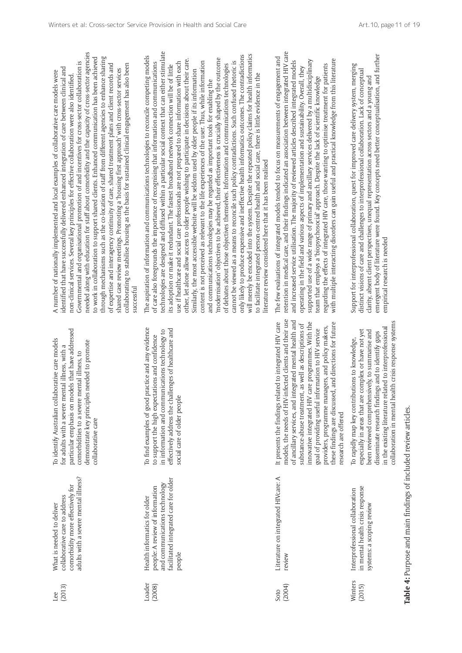| (2013)<br>Lee     | adults with a severe mental illness?<br>comorbidity more effectively for<br>collaborative care to address<br>What is needed to deliver              | particular emphasis on models that have addressed<br>To identify Australian collaborative care models<br>demonstrate key principles needed to promote<br>for adults with a severe mental illness, with a<br>comorbidities to a severe mental illness, to<br>collaborative care                                                                                                                                                                                                               | $\prec$<br>고.<br>Ĕ<br>U<br>Ĕ<br>$\tilde{c}$<br>≑<br>$\overline{\circ}$<br>ੱਕ<br>୪<br>ದ                                             |
|-------------------|-----------------------------------------------------------------------------------------------------------------------------------------------------|----------------------------------------------------------------------------------------------------------------------------------------------------------------------------------------------------------------------------------------------------------------------------------------------------------------------------------------------------------------------------------------------------------------------------------------------------------------------------------------------|------------------------------------------------------------------------------------------------------------------------------------|
| Loader<br>(2008)  | facilitated integrated care for older<br>and communications technology<br>people: A review of information<br>Health informatics for older<br>people | To find examples of good practice and any evidence<br>effectively address the challenges of healthcare and<br>in information and communications technology to<br>to support the high expectations and confidence<br>social care of older people                                                                                                                                                                                                                                              | F<br>$\overline{\circ}$<br>م ب<br>₩<br>Ĕ<br>$\overline{\circ}$<br>ದ<br>୪<br>ਜ਼<br>두<br>ō<br>ర<br>$\overline{\circ}$<br>≥<br>7<br>≘ |
| (2004)<br>Soto    | Literature on integrated HIVcare: A<br>review                                                                                                       | models, the needs of HIV-infected clients and their use<br>of ancillary services, and integrated mental health and<br>It presents the findings related to integrated HIV care<br>innovative integrated HIV care programmes. With the<br>these findings are discussed, and directions for future<br>substance-abuse treatment, as well as descriptions of<br>providers, programme managers, and policy makers,<br>goal of providing useful information to HIV service<br>research are offered | ᄐ<br>۳Ę<br>ನ<br>$\overline{\circ}$<br>ದ<br>'F<br>F<br>≥                                                                            |
| Winters<br>(2015) | in mental health crisis response<br>Interprofessional collaboration<br>systems: a scoping review                                                    | collaboration in mental health crisis response systems<br>in the existing literature related to interprofessional<br>especially in areas that are complex or have not yet<br>been reviewed comprehensively, to summarise and<br>disseminate research findings and to identify gaps<br>To rapidly map key contributions to knowledge,                                                                                                                                                         | 5<br>ਰ<br>ਹ<br>ō<br>ಠ                                                                                                              |

Table 4: Purpose and main findings of included review articles. **Table 4:** Purpose and main findings of included review articles.

needed along with education for staff about comorbidity and the capacity of cross-sector agencies eeded along with education for staff about comorbidity and the capacity of cross-sector agencies to work in collaboration to support shared clients. Enhanced communication has been achieved through mechanisms such as the co-location of staff from different agencies to enhance sharing work in collaboration to support shared clients. Enhanced communication has been achieved rough mechanisms such as the co-location of staff from different agencies to enhance sharing overnmental and organisational promotion of and incentives for cross-sector collaboration is Governmental and organisational promotion of and incentives for cross-sector collaboration is of expertise and interagency continuity of care, shared treatment plans and client records and collaborating to stabilise housing as the basis for sustained clinical engagement has also been expertise and interagency continuity of care, shared treatment plans and client records and Ilaborating to stabilise housing as the basis for sustained clinical engagement has also been identified that have successfully delivered enhanced integration of care between clinical and ared case review meetings. Promoting a 'housing first approach' with cross-sector services entified that have successfully delivered enhanced integration of care between clinical and shared case review meetings. Promoting a 'housing first approach' with cross-sector services number of nationally implemented and local examples of collaborative care models were A number of nationally implemented and local examples of collaborative care models were non-clinical services. Several key principles for effective collaboration were also identified. on-clinical services. Several key principles for effective collaboration were also identified **ICCESSful** successful

chnologies are designed and diffused within a particular social context that can either stimulate technologies are designed and diffused within a particular social context that can either stimulate will merely be encoded into the system. Despite the repeated policy claims for health informatics hy likely to produce expensive and ineffective health informatics outcomes. The contradictions only likely to produce expensive and ineffective health informatics outcomes. The contradictions ill merely be encoded into the system. Despite the repeated policy claims for health informatics ne aspiration of information and communications technologies to reconcile competing models The aspiration of information and communications technologies to reconcile competing models other, let alone allow access to older people wishing to participate in decisions about their care. 'modernisation' objectives to be achieved, their effectiveness is crucially shaped by the outcome her, let alone allow access to older people wishing to participate in decisions about their care. odernisation' objectives to be achieved, their effectiveness is crucially shaped by the outcome use if healthcare and social care professionals are not prepared to share information with each ontent is not perceived as relevant to the life experiences of the user. Thus, while information content is not perceived as relevant to the life experiences of the user. Thus, while information innot be viewed as a means to reconcile such policy contradictions. Such confused metoric is cannot be viewed as a means to reconcile such policy contradictions. Such confused rhetoric is care also foregrounds the importance of recognising that information and communications of care also foregrounds the importance of recognising that information and communications se if healthcare and social care professionals are not prepared to share information with each s adoption or make it redundant. The fastest broadband network connection will be of little debates about those objectives themselves. Information and communications technologies of debates about those objectives themselves. Information and communications technologies its adoption or make it redundant. The fastest broadband network connection will be of little milarly, the most accessible website will be seldom used by older people if its information Similarly, the most accessible website will be seldom used by older people if its information facilitate integrated person-centred health and social care, there is little evidence in the to facilitate integrated person-centred health and social care, there is little evidence in the nd communications technologies may be regarded as important tools for enabling the and communications technologies may be regarded as important tools for enabling the erature review considered here that it has been realised literature review considered here that it has been realised

retention in medical care, and their findings indicated an association between integrated HIV care tention in medical care, and their findings indicated an association between integrated HIV care ne few evaluations of integrated models tended to focus on measurements of engagement and The few evaluations of integrated models tended to focus on measurements of engagement and supported use of a wide range of primary and ancillary services delivered by a multidisciplinary th multiple interacting disorders can gain useful and practical knowledge from this literature with multiple interacting disorders can gain useful and practical knowledge from this literature and increased service utilisation. The majority of reviewed articles described integrated models pported use of a wide range of primary and ancillary services delivered by a multidisciplinary increased service utilisation. The majority of reviewed articles described integrated models garding the effects of integrated HIV care, those wanting to optimise treatment for patients regarding the effects of integrated HIV care, those wanting to optimise treatment for patients berating in the field and various aspects of implementation and sustainability. Overall, they operating in the field and various aspects of implementation and sustainability. Overall, they am that employs a 'biopsychosocial' approach. Despite the lack of scientific knowledge team that employs a 'biopsychosocial' approach. Despite the lack of scientific knowledge

emergent body of literature were found. Key concepts need better conceptualisation, and further nergent body of literature were found. Key concepts need better conceptualisation, and further Support for interprofessional collaboration, quest for improved care delivery system, merging pport for interprofessional collaboration, quest for improved care delivery system, merging distinct visions of care and challenges to interprofessional collaboration. Lack of conceptual stinct visions of care and challenges to interprofessional collaboration. Lack of conceptual clarity, absent client perspectives, unequal representation across sectors and a young and arity, absent client perspectives, unequal representation across sectors and a young and npirical research is needed empirical research is needed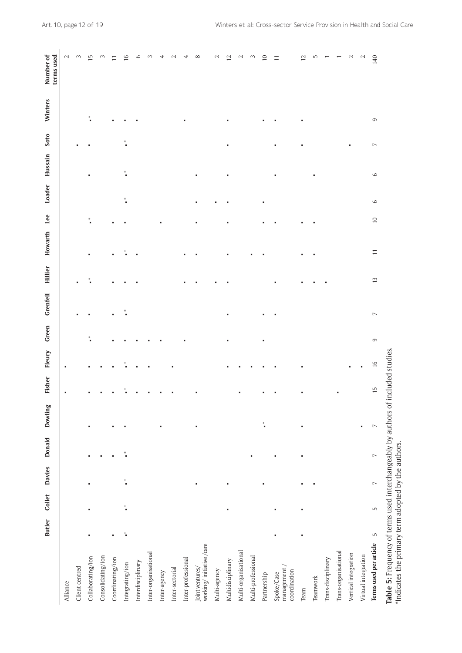|                                                                                                                                        | <b>Butler</b>                                                             | Collet          | <b>Davies</b>    | Donald            | Dowling              | Fisher          | Fleury        | Green       | <b>Grenfell</b> | <b>Hillier</b> | Howarth | Lee    | Loader             | Hussain | Soto             | Winters | Number of<br>terms used |
|----------------------------------------------------------------------------------------------------------------------------------------|---------------------------------------------------------------------------|-----------------|------------------|-------------------|----------------------|-----------------|---------------|-------------|-----------------|----------------|---------|--------|--------------------|---------|------------------|---------|-------------------------|
| Alliance                                                                                                                               |                                                                           |                 |                  |                   |                      |                 |               |             |                 |                |         |        |                    |         |                  |         | $\mathbf{C}$            |
| Client centred                                                                                                                         |                                                                           |                 |                  |                   |                      |                 |               |             |                 |                |         |        |                    |         |                  |         | 3                       |
| Collaborating/ion                                                                                                                      |                                                                           |                 |                  |                   |                      |                 |               |             |                 |                |         |        |                    |         |                  |         | r.                      |
| Consolidating/ion                                                                                                                      |                                                                           |                 |                  |                   |                      |                 |               |             |                 |                |         |        |                    |         |                  |         | 3                       |
| Coordinating/ion                                                                                                                       | ٠                                                                         |                 |                  |                   |                      |                 |               |             |                 |                |         |        |                    |         |                  |         |                         |
| Integrating/ion                                                                                                                        | $\tilde{\tilde{\phantom{a}}}% (\tilde{\phantom{a}}(\tilde{\phantom{a}}))$ | $^\ast_\bullet$ | $^\ast_\bullet$  | $\ddot{\tilde{}}$ |                      | $^\ast_\bullet$ |               |             |                 |                |         |        | $\ast$             | ⋇       | $\ast$           |         | 16                      |
| Interdisciplinary                                                                                                                      |                                                                           |                 |                  |                   |                      |                 |               |             |                 |                |         |        |                    |         |                  |         | 6                       |
| Inter-organisational                                                                                                                   |                                                                           |                 |                  |                   |                      |                 |               |             |                 |                |         |        |                    |         |                  |         |                         |
| Inter-agency                                                                                                                           |                                                                           |                 |                  |                   |                      |                 |               |             |                 |                |         |        |                    |         |                  |         |                         |
| Inter-sectorial                                                                                                                        |                                                                           |                 |                  |                   |                      |                 |               |             |                 |                |         |        |                    |         |                  |         |                         |
| Inter-professional                                                                                                                     |                                                                           |                 |                  |                   |                      |                 |               |             |                 |                |         |        |                    |         |                  |         |                         |
| working/initiative/care<br>Joint ventures/                                                                                             |                                                                           |                 |                  |                   |                      |                 |               |             |                 |                |         |        |                    |         |                  |         | $^{\circ}$              |
| Multi-agency                                                                                                                           |                                                                           |                 |                  |                   |                      |                 |               |             |                 |                |         |        |                    |         |                  |         | $\mathbf{C}$            |
| Multidisciplinary                                                                                                                      |                                                                           |                 |                  |                   |                      |                 |               |             |                 |                |         |        |                    |         |                  |         | $\overline{\mathsf{C}}$ |
| Multi-organisational                                                                                                                   |                                                                           |                 |                  |                   |                      |                 |               |             |                 |                |         |        |                    |         |                  |         | $\sim$                  |
| Multi-professional                                                                                                                     |                                                                           |                 |                  |                   |                      |                 |               |             |                 |                |         |        |                    |         |                  |         | 3                       |
| Partnership                                                                                                                            |                                                                           |                 |                  |                   | $^\ast_\blacksquare$ |                 |               |             |                 |                |         |        |                    |         |                  |         | $\supseteq$             |
| management<br>coordination<br>Spoke/Case                                                                                               |                                                                           |                 |                  |                   |                      |                 |               |             |                 |                |         |        |                    |         |                  |         | $\Box$                  |
| Team                                                                                                                                   |                                                                           |                 |                  |                   |                      |                 |               |             |                 |                |         |        |                    |         |                  |         | $\mathbf{r}$            |
| Teamwork                                                                                                                               |                                                                           |                 |                  |                   |                      |                 |               |             |                 |                |         |        |                    |         |                  |         | 5                       |
| Trans-disciplinary                                                                                                                     |                                                                           |                 |                  |                   |                      |                 |               |             |                 |                |         |        |                    |         |                  |         |                         |
| Trans-organisational                                                                                                                   |                                                                           |                 |                  |                   |                      |                 |               |             |                 |                |         |        |                    |         |                  |         |                         |
| Vertical integration                                                                                                                   |                                                                           |                 |                  |                   |                      |                 |               |             |                 |                |         |        |                    |         |                  |         |                         |
| Virtual integration                                                                                                                    |                                                                           |                 |                  |                   | ٠                    |                 |               |             |                 |                |         |        |                    |         |                  |         | $\sim$                  |
| Terms used per article                                                                                                                 | S                                                                         | LN,             | $\triangleright$ | $\triangleright$  | $\triangleright$     | $\overline{1}$  | $\frac{1}{6}$ | $\mathbb O$ | $\overline{ }$  | $\tilde{1}$    | $\Box$  | $\Box$ | $\circ$<br>$\circ$ |         | $\triangleright$ | $\circ$ | 140                     |
| Table 5: Frequency of terms used interchangeably by authors of included studies<br>*Indicates the primary term adopted by the authors. |                                                                           |                 |                  |                   |                      |                 |               |             |                 |                |         |        |                    |         |                  |         |                         |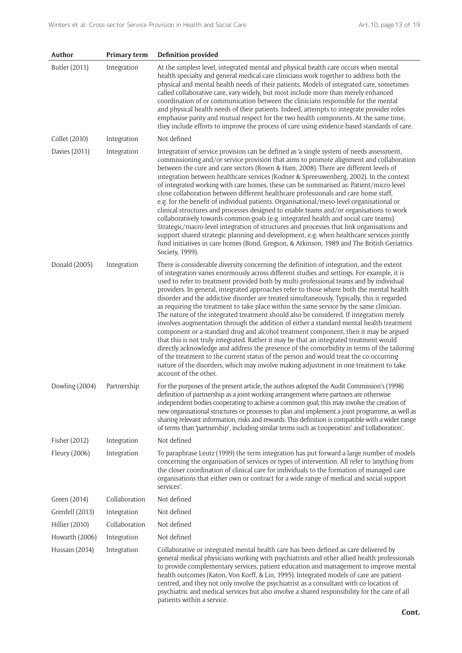| Author               | Primary term  | <b>Definition provided</b>                                                                                                                                                                                                                                                                                                                                                                                                                                                                                                                                                                                                                                                                                                                                                                                                                                                                                                                                                                                                                                                                                                                                                                                                                             |
|----------------------|---------------|--------------------------------------------------------------------------------------------------------------------------------------------------------------------------------------------------------------------------------------------------------------------------------------------------------------------------------------------------------------------------------------------------------------------------------------------------------------------------------------------------------------------------------------------------------------------------------------------------------------------------------------------------------------------------------------------------------------------------------------------------------------------------------------------------------------------------------------------------------------------------------------------------------------------------------------------------------------------------------------------------------------------------------------------------------------------------------------------------------------------------------------------------------------------------------------------------------------------------------------------------------|
| Butler (2011)        | Integration   | At the simplest level, integrated mental and physical health care occurs when mental<br>health specialty and general medical care clinicians work together to address both the<br>physical and mental health needs of their patients. Models of integrated care, sometimes<br>called collaborative care, vary widely, but most include more than merely enhanced<br>coordination of or communication between the clinicians responsible for the mental<br>and physical health needs of their patients. Indeed, attempts to integrate provider roles<br>emphasise parity and mutual respect for the two health components. At the same time,<br>they include efforts to improve the process of care using evidence-based standards of care.                                                                                                                                                                                                                                                                                                                                                                                                                                                                                                             |
| Collet (2010)        | Integration   | Not defined                                                                                                                                                                                                                                                                                                                                                                                                                                                                                                                                                                                                                                                                                                                                                                                                                                                                                                                                                                                                                                                                                                                                                                                                                                            |
| <b>Davies (2011)</b> | Integration   | Integration of service provision can be defined as 'a single system of needs assessment,<br>commissioning and/or service provision that aims to promote alignment and collaboration<br>between the cure and care sectors (Rosen & Ham, 2008). There are different levels of<br>integration between healthcare services (Kodner & Spreeuwenberg, 2002). In the context<br>of integrated working with care homes, these can be summarised as: Patient/micro-level<br>close collaboration between different healthcare professionals and care home staff,<br>e.g. for the benefit of individual patients. Organisational/meso-level organisational or<br>clinical structures and processes designed to enable teams and/or organisations to work<br>collaboratively towards common goals (e.g. integrated health and social care teams).<br>Strategic/macro-level integration of structures and processes that link organisations and<br>support shared strategic planning and development, e.g. when healthcare services jointly<br>fund initiatives in care homes (Bond, Gregson, & Atkinson, 1989 and The British Geriatrics<br>Society, 1999).                                                                                                        |
| Donald (2005)        | Integration   | There is considerable diversity concerning the definition of integration, and the extent<br>of integration varies enormously across different studies and settings. For example, it is<br>used to refer to treatment provided both by multi-professional teams and by individual<br>providers. In general, integrated approaches refer to those where both the mental health<br>disorder and the addictive disorder are treated simultaneously. Typically, this is regarded<br>as requiring the treatment to take place within the same service by the same clinician.<br>The nature of the integrated treatment should also be considered. If integration merely<br>involves augmentation through the addition of either a standard mental health treatment<br>component or a standard drug and alcohol treatment component, then it may be argued<br>that this is not truly integrated. Rather it may be that an integrated treatment would<br>directly acknowledge and address the presence of the comorbidity in terms of the tailoring<br>of the treatment to the current status of the person and would treat the co-occurring<br>nature of the disorders, which may involve making adjustment in one treatment to take<br>account of the other. |
| Dowling (2004)       | Partnership   | For the purposes of the present article, the authors adopted the Audit Commission's (1998)<br>definition of partnership as a joint working arrangement where partners are otherwise<br>independent bodies cooperating to achieve a common goal; this may involve the creation of<br>new organisational structures or processes to plan and implement a joint programme, as well as<br>sharing relevant information, risks and rewards. This definition is compatible with a wider range<br>of terms than 'partnership', including similar terms such as 'cooperation' and 'collaboration'.                                                                                                                                                                                                                                                                                                                                                                                                                                                                                                                                                                                                                                                             |
| Fisher (2012)        | Integration   | Not defined                                                                                                                                                                                                                                                                                                                                                                                                                                                                                                                                                                                                                                                                                                                                                                                                                                                                                                                                                                                                                                                                                                                                                                                                                                            |
| Fleury (2006)        | Integration   | To paraphrase Leutz (1999) the term integration has put forward a large number of models<br>concerning the organisation of services or types of intervention. All refer to 'anything from<br>the closer coordination of clinical care for individuals to the formation of managed care<br>organisations that either own or contract for a wide range of medical and social support<br>services'.                                                                                                                                                                                                                                                                                                                                                                                                                                                                                                                                                                                                                                                                                                                                                                                                                                                       |
| Green (2014)         | Collaboration | Not defined                                                                                                                                                                                                                                                                                                                                                                                                                                                                                                                                                                                                                                                                                                                                                                                                                                                                                                                                                                                                                                                                                                                                                                                                                                            |
| Grenfell (2013)      | Integration   | Not defined                                                                                                                                                                                                                                                                                                                                                                                                                                                                                                                                                                                                                                                                                                                                                                                                                                                                                                                                                                                                                                                                                                                                                                                                                                            |
| Hillier (2010)       | Collaboration | Not defined                                                                                                                                                                                                                                                                                                                                                                                                                                                                                                                                                                                                                                                                                                                                                                                                                                                                                                                                                                                                                                                                                                                                                                                                                                            |
| Howarth (2006)       | Integration   | Not defined                                                                                                                                                                                                                                                                                                                                                                                                                                                                                                                                                                                                                                                                                                                                                                                                                                                                                                                                                                                                                                                                                                                                                                                                                                            |
| Hussain (2014)       | Integration   | Collaborative or integrated mental health care has been defined as care delivered by<br>general medical physicians working with psychiatrists and other allied health professionals<br>to provide complementary services, patient education and management to improve mental<br>health outcomes (Katon, Von Korff, & Lin, 1995). Integrated models of care are patient-<br>centred, and they not only involve the psychiatrist as a consultant with co-location of<br>psychiatric and medical services but also involve a shared responsibility for the care of all<br>patients within a service.                                                                                                                                                                                                                                                                                                                                                                                                                                                                                                                                                                                                                                                      |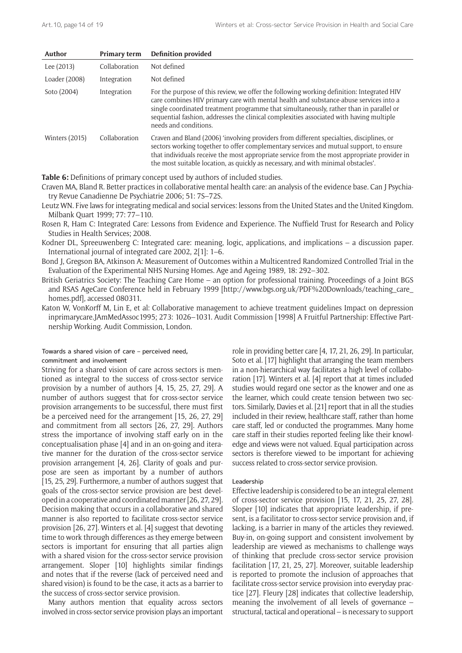| Author           | Primary term  | <b>Definition provided</b>                                                                                                                                                                                                                                                                                                                                                                       |
|------------------|---------------|--------------------------------------------------------------------------------------------------------------------------------------------------------------------------------------------------------------------------------------------------------------------------------------------------------------------------------------------------------------------------------------------------|
| Lee (2013)       | Collaboration | Not defined                                                                                                                                                                                                                                                                                                                                                                                      |
| Loader (2008)    | Integration   | Not defined                                                                                                                                                                                                                                                                                                                                                                                      |
| Soto (2004)      | Integration   | For the purpose of this review, we offer the following working definition: Integrated HIV<br>care combines HIV primary care with mental health and substance-abuse services into a<br>single coordinated treatment programme that simultaneously, rather than in parallel or<br>sequential fashion, addresses the clinical complexities associated with having multiple<br>needs and conditions. |
| Winters $(2015)$ | Collaboration | Craven and Bland (2006) 'involving providers from different specialties, disciplines, or<br>sectors working together to offer complementary services and mutual support, to ensure<br>that individuals receive the most appropriate service from the most appropriate provider in<br>the most suitable location, as quickly as necessary, and with minimal obstacles'.                           |

**Table 6:** Definitions of primary concept used by authors of included studies.

Craven MA, Bland R. Better practices in collaborative mental health care: an analysis of the evidence base. Can J Psychiatry Revue Canadienne De Psychiatrie 2006; 51: 7S–72S.

Leutz WN. Five laws for integrating medical and social services: lessons from the United States and the United Kingdom. Milbank Quart 1999; 77: 77–110.

Rosen R, Ham C: Integrated Care: Lessons from Evidence and Experience. The Nuffield Trust for Research and Policy Studies in Health Services; 2008.

Kodner DL, Spreeuwenberg C: Integrated care: meaning, logic, applications, and implications – a discussion paper. International journal of integrated care 2002, 2[1]: 1–6.

Bond J, Gregson BA, Atkinson A: Measurement of Outcomes within a Multicentred Randomized Controlled Trial in the Evaluation of the Experimental NHS Nursing Homes. Age and Ageing 1989, 18: 292–302.

British Geriatrics Society: The Teaching Care Home – an option for professional training. Proceedings of a Joint BGS and RSAS AgeCare Conference held in February 1999 [[http://www.bgs.org.uk/PDF%20Downloads/teaching\\_care\\_](http://www.bgs.org.uk/PDF%20Downloads/teaching_care_homes.pdf) [homes.pdf](http://www.bgs.org.uk/PDF%20Downloads/teaching_care_homes.pdf)], accessed 080311.

Katon W, VonKorff M, Lin E, et al: Collaborative management to achieve treatment guidelines Impact on depression inprimarycare.JAmMedAssoc1995; 273: 1026–1031. Audit Commission [1998] A Fruitful Partnership: Effective Partnership Working. Audit Commission, London.

#### Towards a shared vision of care – perceived need, commitment and involvement

Striving for a shared vision of care across sectors is mentioned as integral to the success of cross-sector service provision by a number of authors [4, 15, 25, 27, 29]. A number of authors suggest that for cross-sector service provision arrangements to be successful, there must first be a perceived need for the arrangement [15, 26, 27, 29] and commitment from all sectors [26, 27, 29]. Authors stress the importance of involving staff early on in the conceptualisation phase [4] and in an on-going and iterative manner for the duration of the cross-sector service provision arrangement [4, 26]. Clarity of goals and purpose are seen as important by a number of authors [15, 25, 29]. Furthermore, a number of authors suggest that goals of the cross-sector service provision are best developed in a cooperative and coordinated manner [26, 27, 29]. Decision making that occurs in a collaborative and shared manner is also reported to facilitate cross-sector service provision [26, 27]. Winters et al. [4] suggest that devoting time to work through differences as they emerge between sectors is important for ensuring that all parties align with a shared vision for the cross-sector service provision arrangement. Sloper [10] highlights similar findings and notes that if the reverse (lack of perceived need and shared vision) is found to be the case, it acts as a barrier to the success of cross-sector service provision.

Many authors mention that equality across sectors involved in cross-sector service provision plays an important

role in providing better care [4, 17, 21, 26, 29]. In particular, Soto et al. [17] highlight that arranging the team members in a non-hierarchical way facilitates a high level of collaboration [17]. Winters et al. [4] report that at times included studies would regard one sector as the knower and one as the learner, which could create tension between two sectors. Similarly, Davies et al. [21] report that in all the studies included in their review, healthcare staff, rather than home care staff, led or conducted the programmes. Many home care staff in their studies reported feeling like their knowledge and views were not valued. Equal participation across sectors is therefore viewed to be important for achieving success related to cross-sector service provision.

# Leadership

Effective leadership is considered to be an integral element of cross-sector service provision [15, 17, 21, 25, 27, 28]. Sloper [10] indicates that appropriate leadership, if present, is a facilitator to cross-sector service provision and, if lacking, is a barrier in many of the articles they reviewed. Buy-in, on-going support and consistent involvement by leadership are viewed as mechanisms to challenge ways of thinking that preclude cross-sector service provision facilitation [17, 21, 25, 27]. Moreover, suitable leadership is reported to promote the inclusion of approaches that facilitate cross-sector service provision into everyday practice [27]. Fleury [28] indicates that collective leadership, meaning the involvement of all levels of governance – structural, tactical and operational – is necessary to support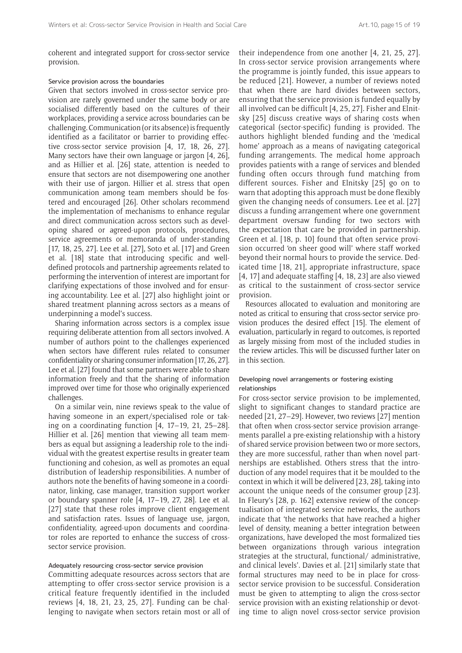coherent and integrated support for cross-sector service provision.

#### Service provision across the boundaries

Given that sectors involved in cross-sector service provision are rarely governed under the same body or are socialised differently based on the cultures of their workplaces, providing a service across boundaries can be challenging. Communication (or its absence) is frequently identified as a facilitator or barrier to providing effective cross-sector service provision [4, 17, 18, 26, 27]. Many sectors have their own language or jargon [4, 26], and as Hillier et al. [26] state, attention is needed to ensure that sectors are not disempowering one another with their use of jargon. Hillier et al. stress that open communication among team members should be fostered and encouraged [26]. Other scholars recommend the implementation of mechanisms to enhance regular and direct communication across sectors such as developing shared or agreed-upon protocols, procedures, service agreements or memoranda of under-standing [17, 18, 25, 27]. Lee et al. [27], Soto et al. [17] and Green et al. [18] state that introducing specific and welldefined protocols and partnership agreements related to performing the intervention of interest are important for clarifying expectations of those involved and for ensuring accountability. Lee et al. [27] also highlight joint or shared treatment planning across sectors as a means of underpinning a model's success.

Sharing information across sectors is a complex issue requiring deliberate attention from all sectors involved. A number of authors point to the challenges experienced when sectors have different rules related to consumer confidentiality or sharing consumer information [17, 26, 27]. Lee et al. [27] found that some partners were able to share information freely and that the sharing of information improved over time for those who originally experienced challenges.

On a similar vein, nine reviews speak to the value of having someone in an expert/specialised role or taking on a coordinating function [4, 17–19, 21, 25–28]. Hillier et al. [26] mention that viewing all team members as equal but assigning a leadership role to the individual with the greatest expertise results in greater team functioning and cohesion, as well as promotes an equal distribution of leadership responsibilities. A number of authors note the benefits of having someone in a coordinator, linking, case manager, transition support worker or boundary spanner role [4, 17–19, 27, 28]. Lee et al. [27] state that these roles improve client engagement and satisfaction rates. Issues of language use, jargon, confidentiality, agreed-upon documents and coordinator roles are reported to enhance the success of crosssector service provision.

#### Adequately resourcing cross-sector service provision

Committing adequate resources across sectors that are attempting to offer cross-sector service provision is a critical feature frequently identified in the included reviews [4, 18, 21, 23, 25, 27]. Funding can be challenging to navigate when sectors retain most or all of their independence from one another [4, 21, 25, 27]. In cross-sector service provision arrangements where the programme is jointly funded, this issue appears to be reduced [21]. However, a number of reviews noted that when there are hard divides between sectors, ensuring that the service provision is funded equally by all involved can be difficult [4, 25, 27]. Fisher and Elnitsky [25] discuss creative ways of sharing costs when categorical (sector-specific) funding is provided. The authors highlight blended funding and the 'medical home' approach as a means of navigating categorical funding arrangements. The medical home approach provides patients with a range of services and blended funding often occurs through fund matching from different sources. Fisher and Elnitsky [25] go on to warn that adopting this approach must be done flexibly given the changing needs of consumers. Lee et al. [27] discuss a funding arrangement where one government department oversaw funding for two sectors with the expectation that care be provided in partnership. Green et al. [18, p. 10] found that often service provision occurred 'on sheer good will' where staff worked beyond their normal hours to provide the service. Dedicated time [18, 21], appropriate infrastructure, space [4, 17] and adequate staffing [4, 18, 23] are also viewed as critical to the sustainment of cross-sector service provision.

Resources allocated to evaluation and monitoring are noted as critical to ensuring that cross-sector service provision produces the desired effect [15]. The element of evaluation, particularly in regard to outcomes, is reported as largely missing from most of the included studies in the review articles. This will be discussed further later on in this section.

# Developing novel arrangements or fostering existing relationships

For cross-sector service provision to be implemented, slight to significant changes to standard practice are needed [21, 27–29]. However, two reviews [27] mention that often when cross-sector service provision arrangements parallel a pre-existing relationship with a history of shared service provision between two or more sectors, they are more successful, rather than when novel partnerships are established. Others stress that the introduction of any model requires that it be moulded to the context in which it will be delivered [23, 28], taking into account the unique needs of the consumer group [23]. In Fleury's [28, p. 162] extensive review of the conceptualisation of integrated service networks, the authors indicate that 'the networks that have reached a higher level of density, meaning a better integration between organizations, have developed the most formalized ties between organizations through various integration strategies at the structural, functional/ administrative, and clinical levels'. Davies et al. [21] similarly state that formal structures may need to be in place for crosssector service provision to be successful. Consideration must be given to attempting to align the cross-sector service provision with an existing relationship or devoting time to align novel cross-sector service provision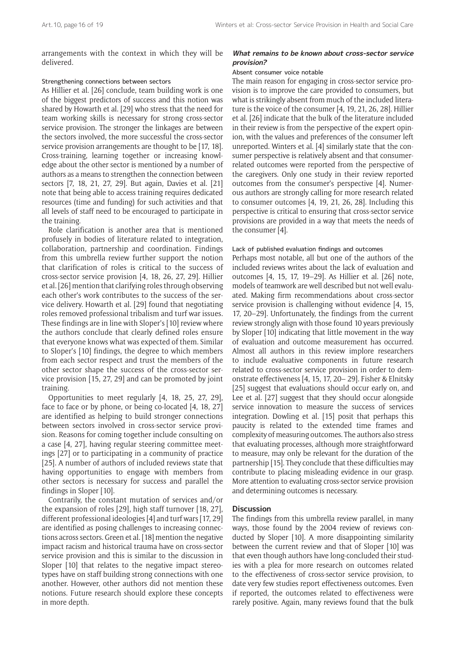arrangements with the context in which they will be delivered.

#### Strengthening connections between sectors

As Hillier et al. [26] conclude, team building work is one of the biggest predictors of success and this notion was shared by Howarth et al. [29] who stress that the need for team working skills is necessary for strong cross-sector service provision. The stronger the linkages are between the sectors involved, the more successful the cross-sector service provision arrangements are thought to be [17, 18]. Cross-training, learning together or increasing knowledge about the other sector is mentioned by a number of authors as a means to strengthen the connection between sectors [7, 18, 21, 27, 29]. But again, Davies et al. [21] note that being able to access training requires dedicated resources (time and funding) for such activities and that all levels of staff need to be encouraged to participate in the training.

Role clarification is another area that is mentioned profusely in bodies of literature related to integration, collaboration, partnership and coordination. Findings from this umbrella review further support the notion that clarification of roles is critical to the success of cross-sector service provision [4, 18, 26, 27, 29]. Hillier et al. [26] mention that clarifying roles through observing each other's work contributes to the success of the service delivery. Howarth et al. [29] found that negotiating roles removed professional tribalism and turf war issues. These findings are in line with Sloper's [10] review where the authors conclude that clearly defined roles ensure that everyone knows what was expected of them. Similar to Sloper's [10] findings, the degree to which members from each sector respect and trust the members of the other sector shape the success of the cross-sector service provision [15, 27, 29] and can be promoted by joint training.

Opportunities to meet regularly [4, 18, 25, 27, 29], face to face or by phone, or being co-located [4, 18, 27] are identified as helping to build stronger connections between sectors involved in cross-sector service provision. Reasons for coming together include consulting on a case [4, 27], having regular steering committee meetings [27] or to participating in a community of practice [25]. A number of authors of included reviews state that having opportunities to engage with members from other sectors is necessary for success and parallel the findings in Sloper [10].

Contrarily, the constant mutation of services and/or the expansion of roles [29], high staff turnover [18, 27], different professional ideologies [4] and turf wars [17, 29] are identified as posing challenges to increasing connections across sectors. Green et al. [18] mention the negative impact racism and historical trauma have on cross-sector service provision and this is similar to the discussion in Sloper [10] that relates to the negative impact stereotypes have on staff building strong connections with one another. However, other authors did not mention these notions. Future research should explore these concepts in more depth.

# **What remains to be known about cross-sector service provision?**

### Absent consumer voice notable

The main reason for engaging in cross-sector service provision is to improve the care provided to consumers, but what is strikingly absent from much of the included literature is the voice of the consumer [4, 19, 21, 26, 28]. Hillier et al. [26] indicate that the bulk of the literature included in their review is from the perspective of the expert opinion, with the values and preferences of the consumer left unreported. Winters et al. [4] similarly state that the consumer perspective is relatively absent and that consumerrelated outcomes were reported from the perspective of the caregivers. Only one study in their review reported outcomes from the consumer's perspective [4]. Numerous authors are strongly calling for more research related to consumer outcomes [4, 19, 21, 26, 28]. Including this perspective is critical to ensuring that cross-sector service provisions are provided in a way that meets the needs of the consumer [4].

#### Lack of published evaluation findings and outcomes

Perhaps most notable, all but one of the authors of the included reviews writes about the lack of evaluation and outcomes [4, 15, 17, 19–29]. As Hillier et al. [26] note, models of teamwork are well described but not well evaluated. Making firm recommendations about cross-sector service provision is challenging without evidence [4, 15, 17, 20–29]. Unfortunately, the findings from the current review strongly align with those found 10 years previously by Sloper [10] indicating that little movement in the way of evaluation and outcome measurement has occurred. Almost all authors in this review implore researchers to include evaluative components in future research related to cross-sector service provision in order to demonstrate effectiveness [4, 15, 17, 20– 29]. Fisher & Elnitsky [25] suggest that evaluations should occur early on, and Lee et al. [27] suggest that they should occur alongside service innovation to measure the success of services integration. Dowling et al. [15] posit that perhaps this paucity is related to the extended time frames and complexity of measuring outcomes. The authors also stress that evaluating processes, although more straightforward to measure, may only be relevant for the duration of the partnership [15]. They conclude that these difficulties may contribute to placing misleading evidence in our grasp. More attention to evaluating cross-sector service provision and determining outcomes is necessary.

#### **Discussion**

The findings from this umbrella review parallel, in many ways, those found by the 2004 review of reviews conducted by Sloper [10]. A more disappointing similarity between the current review and that of Sloper [10] was that even though authors have long-concluded their studies with a plea for more research on outcomes related to the effectiveness of cross-sector service provision, to date very few studies report effectiveness outcomes. Even if reported, the outcomes related to effectiveness were rarely positive. Again, many reviews found that the bulk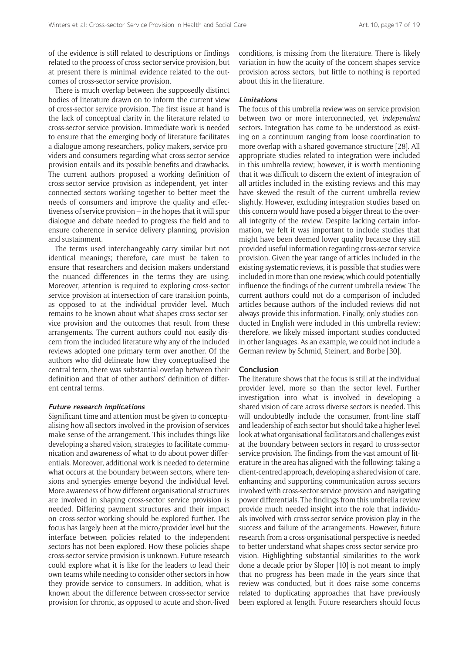of the evidence is still related to descriptions or findings related to the process of cross-sector service provision, but at present there is minimal evidence related to the outcomes of cross-sector service provision.

There is much overlap between the supposedly distinct bodies of literature drawn on to inform the current view of cross-sector service provision. The first issue at hand is the lack of conceptual clarity in the literature related to cross-sector service provision. Immediate work is needed to ensure that the emerging body of literature facilitates a dialogue among researchers, policy makers, service providers and consumers regarding what cross-sector service provision entails and its possible benefits and drawbacks. The current authors proposed a working definition of cross-sector service provision as independent, yet interconnected sectors working together to better meet the needs of consumers and improve the quality and effectiveness of service provision – in the hopes that it will spur dialogue and debate needed to progress the field and to ensure coherence in service delivery planning, provision and sustainment.

The terms used interchangeably carry similar but not identical meanings; therefore, care must be taken to ensure that researchers and decision makers understand the nuanced differences in the terms they are using. Moreover, attention is required to exploring cross-sector service provision at intersection of care transition points, as opposed to at the individual provider level. Much remains to be known about what shapes cross-sector service provision and the outcomes that result from these arrangements. The current authors could not easily discern from the included literature why any of the included reviews adopted one primary term over another. Of the authors who did delineate how they conceptualised the central term, there was substantial overlap between their definition and that of other authors' definition of different central terms.

#### **Future research implications**

Significant time and attention must be given to conceptualising how all sectors involved in the provision of services make sense of the arrangement. This includes things like developing a shared vision, strategies to facilitate communication and awareness of what to do about power differentials. Moreover, additional work is needed to determine what occurs at the boundary between sectors, where tensions and synergies emerge beyond the individual level. More awareness of how different organisational structures are involved in shaping cross-sector service provision is needed. Differing payment structures and their impact on cross-sector working should be explored further. The focus has largely been at the micro/provider level but the interface between policies related to the independent sectors has not been explored. How these policies shape cross-sector service provision is unknown. Future research could explore what it is like for the leaders to lead their own teams while needing to consider other sectors in how they provide service to consumers. In addition, what is known about the difference between cross-sector service provision for chronic, as opposed to acute and short-lived

conditions, is missing from the literature. There is likely variation in how the acuity of the concern shapes service provision across sectors, but little to nothing is reported about this in the literature.

#### **Limitations**

The focus of this umbrella review was on service provision between two or more interconnected, yet *independent* sectors. Integration has come to be understood as existing on a continuum ranging from loose coordination to more overlap with a shared governance structure [28]. All appropriate studies related to integration were included in this umbrella review; however, it is worth mentioning that it was difficult to discern the extent of integration of all articles included in the existing reviews and this may have skewed the result of the current umbrella review slightly. However, excluding integration studies based on this concern would have posed a bigger threat to the overall integrity of the review. Despite lacking certain information, we felt it was important to include studies that might have been deemed lower quality because they still provided useful information regarding cross-sector service provision. Given the year range of articles included in the existing systematic reviews, it is possible that studies were included in more than one review, which could potentially influence the findings of the current umbrella review. The current authors could not do a comparison of included articles because authors of the included reviews did not always provide this information. Finally, only studies conducted in English were included in this umbrella review; therefore, we likely missed important studies conducted in other languages. As an example, we could not include a German review by Schmid, Steinert, and Borbe [30].

# **Conclusion**

The literature shows that the focus is still at the individual provider level, more so than the sector level. Further investigation into what is involved in developing a shared vision of care across diverse sectors is needed. This will undoubtedly include the consumer, front-line staff and leadership of each sector but should take a higher level look at what organisational facilitators and challenges exist at the boundary between sectors in regard to cross-sector service provision. The findings from the vast amount of literature in the area has aligned with the following: taking a client-centred approach, developing a shared vision of care, enhancing and supporting communication across sectors involved with cross-sector service provision and navigating power differentials. The findings from this umbrella review provide much needed insight into the role that individuals involved with cross-sector service provision play in the success and failure of the arrangements. However, future research from a cross-organisational perspective is needed to better understand what shapes cross-sector service provision. Highlighting substantial similarities to the work done a decade prior by Sloper [10] is not meant to imply that no progress has been made in the years since that review was conducted, but it does raise some concerns related to duplicating approaches that have previously been explored at length. Future researchers should focus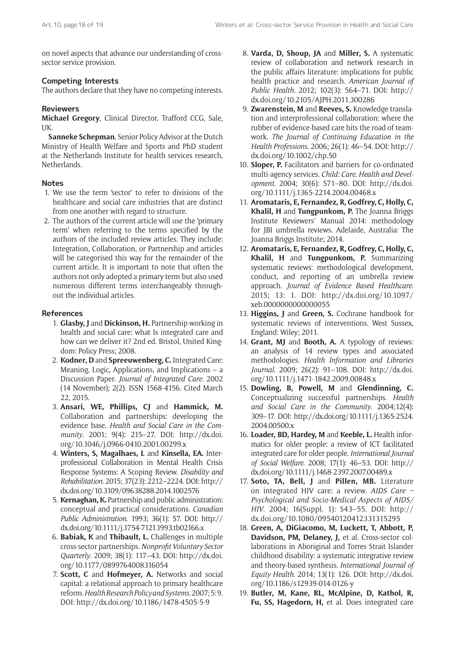on novel aspects that advance our understanding of crosssector service provision.

# **Competing Interests**

The authors declare that they have no competing interests.

# **Reviewers**

**Michael Gregory**, Clinical Director, Trafford CCG, Sale, UK.

**Sanneke Schepman**, Senior Policy Advisor at the Dutch Ministry of Health Welfare and Sports and PhD student at the Netherlands Institute for health services research, Netherlands.

# **Notes**

- 1. We use the term 'sector' to refer to divisions of the healthcare and social care industries that are distinct from one another with regard to structure.
- 2. The authors of the current article will use the 'primary term' when referring to the terms specified by the authors of the included review articles. They include: Integration, Collaboration, or Partnership and articles will be categorised this way for the remainder of the current article. It is important to note that often the authors not only adopted a primary term but also used numerous different terms interchangeably throughout the individual articles.

# **References**

- 1. **Glasby, J** and **Dickinson, H.** Partnership working in health and social care: what Is integrated care and how can we deliver it? 2nd ed. Bristol, United Kingdom: Policy Press; 2008.
- 2. **Kodner, D** and **Spreeuwenberg, C.** Integrated Care: Meaning, Logic, Applications, and Implications – a Discussion Paper. *Journal of Integrated Care.* 2002 (14 November); 2(2). ISSN 1568-4156. Cited March 22, 2015.
- 3. **Ansari, WE, Phillips, CJ** and **Hammick, M.** Collaboration and partnerships: developing the evidence base. *Health and Social Care in the Community*. 2001; 9(4): 215–27. DOI: [http://dx.doi.](http://dx.doi.org/10.1046/j.0966-0410.2001.00299.x) [org/10.1046/j.0966-0410.2001.00299.x](http://dx.doi.org/10.1046/j.0966-0410.2001.00299.x)
- 4. **Winters, S, Magalhaes, L** and **Kinsella, EA.** Interprofessional Collaboration in Mental Health Crisis Response Systems: A Scoping Review. *Disability and Rehabilitation*. 2015; 37(23): 2212–2224. DOI: [http://](http://dx.doi.org/10.3109/09638288.2014.1002576) [dx.doi.org/10.3109/09638288.2014.1002576](http://dx.doi.org/10.3109/09638288.2014.1002576)
- 5. **Kernaghan, K.** Partnership and public administration: conceptual and practical considerations. *Canadian Public Administration*. 1993; 36(1): 57. DOI: [http://](http://dx.doi.org/10.1111/j.1754-7121.1993.tb02166.x) [dx.doi.org/10.1111/j.1754-7121.1993.tb02166.x](http://dx.doi.org/10.1111/j.1754-7121.1993.tb02166.x)
- 6. **Babiak, K** and **Thibault, L.** Challenges in multiple cross-sector partnerships. *Nonprofit Voluntary Sector Quarterly*. 2009; 38(1): 117–43. DOI: [http://dx.doi.](http://dx.doi.org/10.1177/0899764008316054) [org/10.1177/0899764008316054](http://dx.doi.org/10.1177/0899764008316054)
- 7. **Scott, C** and **Hofmeyer, A.** Networks and social capital: a relational approach to primary healthcare reform. *Health Research Policy and Systems*. 2007; 5: 9. DOI: <http://dx.doi.org/10.1186/1478-4505-5-9>
- 8. **Varda, D, Shoup, JA** and **Miller, S.** A systematic review of collaboration and network research in the public affairs literature: implications for public health practice and research. *American Journal of Public Health*. 2012; 102(3): 564–71. DOI: [http://](http://dx.doi.org/10.2105/AJPH.2011.300286) [dx.doi.org/10.2105/AJPH.2011.300286](http://dx.doi.org/10.2105/AJPH.2011.300286)
- 9. **Zwarenstein, M** and **Reeves, S.** Knowledge translation and interprofessional collaboration: where the rubber of evidence-based care hits the road of teamwork. *The Journal of Continuing Education in the Health Professions*. 2006; 26(1): 46–54. DOI: [http://](http://dx.doi.org/10.1002/chp.50) [dx.doi.org/10.1002/chp.50](http://dx.doi.org/10.1002/chp.50)
- 10. **Sloper, P.** Facilitators and barriers for co-ordinated multi-agency services. *Child: Care. Health and Development*. 2004; 30(6): 571–80. DOI: [http://dx.doi.](http://dx.doi.org/10.1111/j.1365-2214.2004.00468.x) [org/10.1111/j.1365-2214.2004.00468.x](http://dx.doi.org/10.1111/j.1365-2214.2004.00468.x)
- 11. **Aromataris, E, Fernandez, R, Godfrey, C, Holly, C, Khalil, H** and **Tungpunkom, P.** The Joanna Briggs Institute Reviewers' Manual 2014: methodology for JBI umbrella reviews. Adelaide, Australia: The Joanna Briggs Institute; 2014.
- 12. **Aromataris, E, Fernandez, R, Godfrey, C, Holly, C, Khalil, H** and **Tungpunkom, P.** Summarizing systematic reviews: methodological development, conduct, and reporting of an umbrella review approach. *Journal of Evidence Based Healthcare*. 2015; 13: 1. DOI: [http://dx.doi.org/10.1097/](http://dx.doi.org/10.1097/xeb.0000000000000055) [xeb.0000000000000055](http://dx.doi.org/10.1097/xeb.0000000000000055)
- 13. **Higgins, J** and **Green, S.** Cochrane handbook for systematic reviews of interventions. West Sussex, England: Wiley; 2011.
- 14. **Grant, MJ** and **Booth, A.** A typology of reviews: an analysis of 14 review types and associated methodologies. *Health Information and Libraries Journal*. 2009; 26(2): 91–108. DOI: [http://dx.doi.](http://dx.doi.org/10.1111/j.1471-1842.2009.00848.x) [org/10.1111/j.1471-1842.2009.00848.x](http://dx.doi.org/10.1111/j.1471-1842.2009.00848.x)
- 15. **Dowling, B, Powell, M** and **Glendinning, C.** Conceptualizing successful partnerships. *Health and Social Care in the Community*. 2004;12(4): 309–17. DOI: [http://dx.doi.org/10.1111/j.1365-2524.](http://dx.doi.org/10.1111/j.1365-2524.2004.00500.x) [2004.00500.x](http://dx.doi.org/10.1111/j.1365-2524.2004.00500.x)
- 16. **Loader, BD, Hardey, M** and **Keeble, L.** Health informatics for older people: a review of ICT facilitated integrated care for older people. *International Journal of Social Welfare*. 2008; 17(1): 46–53. DOI: [http://](http://dx.doi.org/10.1111/j.1468-2397.2007.00489.x) [dx.doi.org/10.1111/j.1468-2397.2007.00489.x](http://dx.doi.org/10.1111/j.1468-2397.2007.00489.x)
- 17. **Soto, TA, Bell, J** and **Pillen, MB.** Literature on integrated HIV care: a review. *AIDS Care – Psychological and Socio-Medical Aspects of AIDS/ HIV*. 2004; 16(Suppl. 1): S43–55. DOI: [http://](http://dx.doi.org/10.1080/09540120412331315295) [dx.doi.org/10.1080/09540120412331315295](http://dx.doi.org/10.1080/09540120412331315295)
- 18. **Green, A, DiGiacomo, M, Luckett, T, Abbott, P, Davidson, PM, Delaney, J,** et al. Cross-sector collaborations in Aboriginal and Torres Strait Islander childhood disability: a systematic integrative review and theory-based synthesis. *International Journal of Equity Health*. 2014; 13(1): 126. DOI: [http://dx.doi.](http://dx.doi.org/10.1186/s12939-014-0126-y) [org/10.1186/s12939-014-0126-y](http://dx.doi.org/10.1186/s12939-014-0126-y)
- 19. **Butler, M, Kane, RL, McAlpine, D, Kathol, R, Fu, SS, Hagedorn, H,** et al. Does integrated care